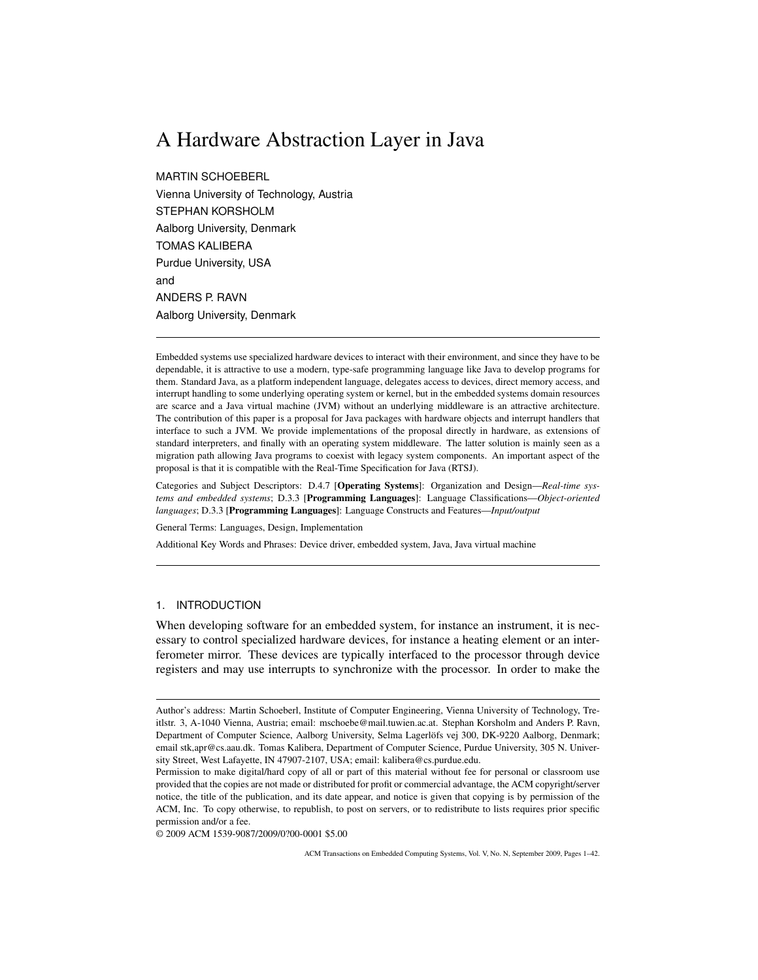# A Hardware Abstraction Layer in Java

MARTIN SCHOEBERL Vienna University of Technology, Austria STEPHAN KORSHOLM Aalborg University, Denmark TOMAS KALIBERA Purdue University, USA and ANDERS P. RAVN Aalborg University, Denmark

Embedded systems use specialized hardware devices to interact with their environment, and since they have to be dependable, it is attractive to use a modern, type-safe programming language like Java to develop programs for them. Standard Java, as a platform independent language, delegates access to devices, direct memory access, and interrupt handling to some underlying operating system or kernel, but in the embedded systems domain resources are scarce and a Java virtual machine (JVM) without an underlying middleware is an attractive architecture. The contribution of this paper is a proposal for Java packages with hardware objects and interrupt handlers that interface to such a JVM. We provide implementations of the proposal directly in hardware, as extensions of standard interpreters, and finally with an operating system middleware. The latter solution is mainly seen as a migration path allowing Java programs to coexist with legacy system components. An important aspect of the proposal is that it is compatible with the Real-Time Specification for Java (RTSJ).

Categories and Subject Descriptors: D.4.7 [Operating Systems]: Organization and Design—*Real-time systems and embedded systems*; D.3.3 [Programming Languages]: Language Classifications—*Object-oriented languages*; D.3.3 [Programming Languages]: Language Constructs and Features—*Input/output*

General Terms: Languages, Design, Implementation

Additional Key Words and Phrases: Device driver, embedded system, Java, Java virtual machine

# 1. INTRODUCTION

When developing software for an embedded system, for instance an instrument, it is necessary to control specialized hardware devices, for instance a heating element or an interferometer mirror. These devices are typically interfaced to the processor through device registers and may use interrupts to synchronize with the processor. In order to make the

© 2009 ACM 1539-9087/2009/0?00-0001 \$5.00

Author's address: Martin Schoeberl, Institute of Computer Engineering, Vienna University of Technology, Treitlstr. 3, A-1040 Vienna, Austria; email: mschoebe@mail.tuwien.ac.at. Stephan Korsholm and Anders P. Ravn, Department of Computer Science, Aalborg University, Selma Lagerlöfs vej 300, DK-9220 Aalborg, Denmark; email stk,apr@cs.aau.dk. Tomas Kalibera, Department of Computer Science, Purdue University, 305 N. University Street, West Lafayette, IN 47907-2107, USA; email: kalibera@cs.purdue.edu.

Permission to make digital/hard copy of all or part of this material without fee for personal or classroom use provided that the copies are not made or distributed for profit or commercial advantage, the ACM copyright/server notice, the title of the publication, and its date appear, and notice is given that copying is by permission of the ACM, Inc. To copy otherwise, to republish, to post on servers, or to redistribute to lists requires prior specific permission and/or a fee.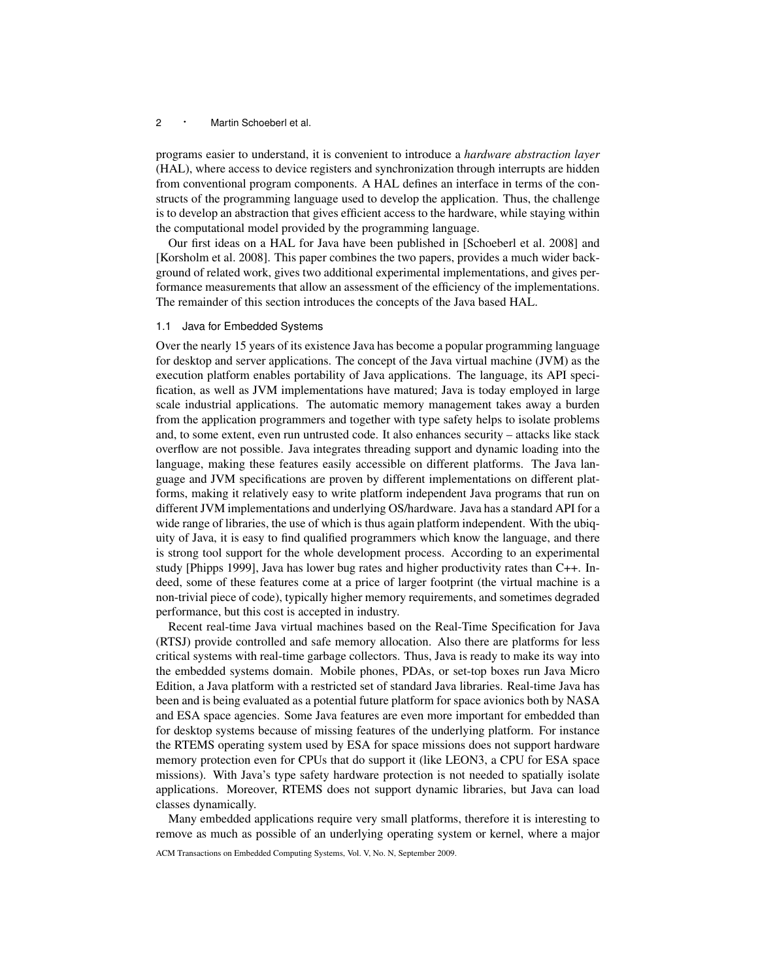programs easier to understand, it is convenient to introduce a *hardware abstraction layer* (HAL), where access to device registers and synchronization through interrupts are hidden from conventional program components. A HAL defines an interface in terms of the constructs of the programming language used to develop the application. Thus, the challenge is to develop an abstraction that gives efficient access to the hardware, while staying within the computational model provided by the programming language.

Our first ideas on a HAL for Java have been published in [Schoeberl et al. 2008] and [Korsholm et al. 2008]. This paper combines the two papers, provides a much wider background of related work, gives two additional experimental implementations, and gives performance measurements that allow an assessment of the efficiency of the implementations. The remainder of this section introduces the concepts of the Java based HAL.

# 1.1 Java for Embedded Systems

Over the nearly 15 years of its existence Java has become a popular programming language for desktop and server applications. The concept of the Java virtual machine (JVM) as the execution platform enables portability of Java applications. The language, its API specification, as well as JVM implementations have matured; Java is today employed in large scale industrial applications. The automatic memory management takes away a burden from the application programmers and together with type safety helps to isolate problems and, to some extent, even run untrusted code. It also enhances security – attacks like stack overflow are not possible. Java integrates threading support and dynamic loading into the language, making these features easily accessible on different platforms. The Java language and JVM specifications are proven by different implementations on different platforms, making it relatively easy to write platform independent Java programs that run on different JVM implementations and underlying OS/hardware. Java has a standard API for a wide range of libraries, the use of which is thus again platform independent. With the ubiquity of Java, it is easy to find qualified programmers which know the language, and there is strong tool support for the whole development process. According to an experimental study [Phipps 1999], Java has lower bug rates and higher productivity rates than C++. Indeed, some of these features come at a price of larger footprint (the virtual machine is a non-trivial piece of code), typically higher memory requirements, and sometimes degraded performance, but this cost is accepted in industry.

Recent real-time Java virtual machines based on the Real-Time Specification for Java (RTSJ) provide controlled and safe memory allocation. Also there are platforms for less critical systems with real-time garbage collectors. Thus, Java is ready to make its way into the embedded systems domain. Mobile phones, PDAs, or set-top boxes run Java Micro Edition, a Java platform with a restricted set of standard Java libraries. Real-time Java has been and is being evaluated as a potential future platform for space avionics both by NASA and ESA space agencies. Some Java features are even more important for embedded than for desktop systems because of missing features of the underlying platform. For instance the RTEMS operating system used by ESA for space missions does not support hardware memory protection even for CPUs that do support it (like LEON3, a CPU for ESA space missions). With Java's type safety hardware protection is not needed to spatially isolate applications. Moreover, RTEMS does not support dynamic libraries, but Java can load classes dynamically.

Many embedded applications require very small platforms, therefore it is interesting to remove as much as possible of an underlying operating system or kernel, where a major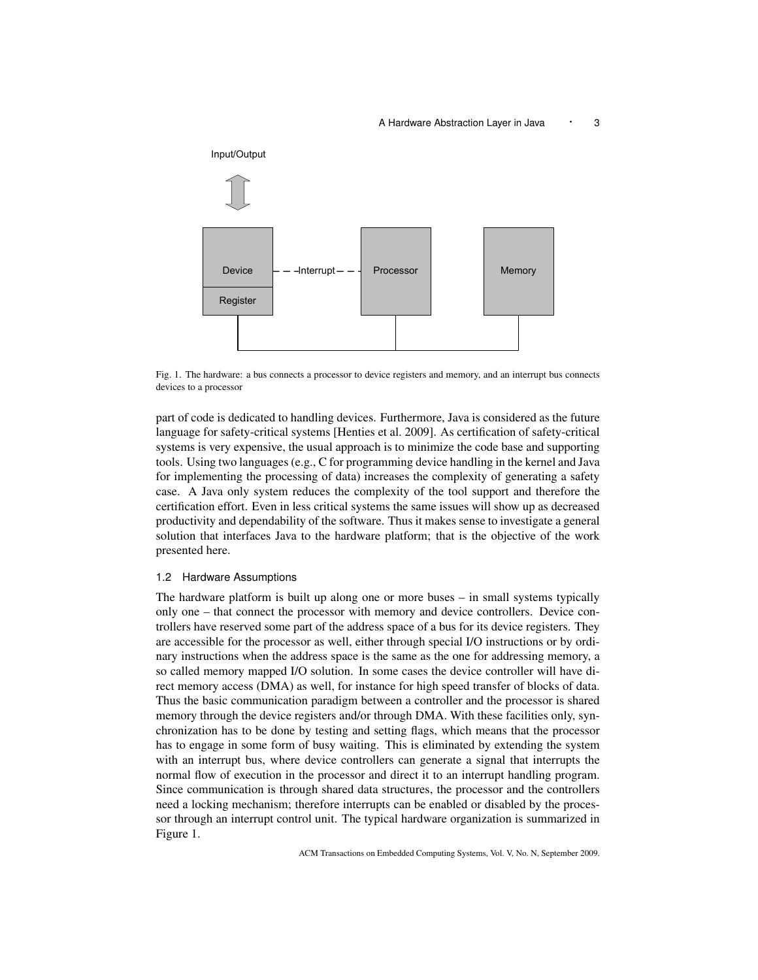

Fig. 1. The hardware: a bus connects a processor to device registers and memory, and an interrupt bus connects devices to a processor

part of code is dedicated to handling devices. Furthermore, Java is considered as the future language for safety-critical systems [Henties et al. 2009]. As certification of safety-critical systems is very expensive, the usual approach is to minimize the code base and supporting tools. Using two languages (e.g., C for programming device handling in the kernel and Java for implementing the processing of data) increases the complexity of generating a safety case. A Java only system reduces the complexity of the tool support and therefore the certification effort. Even in less critical systems the same issues will show up as decreased productivity and dependability of the software. Thus it makes sense to investigate a general solution that interfaces Java to the hardware platform; that is the objective of the work presented here.

# 1.2 Hardware Assumptions

The hardware platform is built up along one or more buses – in small systems typically only one – that connect the processor with memory and device controllers. Device controllers have reserved some part of the address space of a bus for its device registers. They are accessible for the processor as well, either through special I/O instructions or by ordinary instructions when the address space is the same as the one for addressing memory, a so called memory mapped I/O solution. In some cases the device controller will have direct memory access (DMA) as well, for instance for high speed transfer of blocks of data. Thus the basic communication paradigm between a controller and the processor is shared memory through the device registers and/or through DMA. With these facilities only, synchronization has to be done by testing and setting flags, which means that the processor has to engage in some form of busy waiting. This is eliminated by extending the system with an interrupt bus, where device controllers can generate a signal that interrupts the normal flow of execution in the processor and direct it to an interrupt handling program. Since communication is through shared data structures, the processor and the controllers need a locking mechanism; therefore interrupts can be enabled or disabled by the processor through an interrupt control unit. The typical hardware organization is summarized in Figure 1.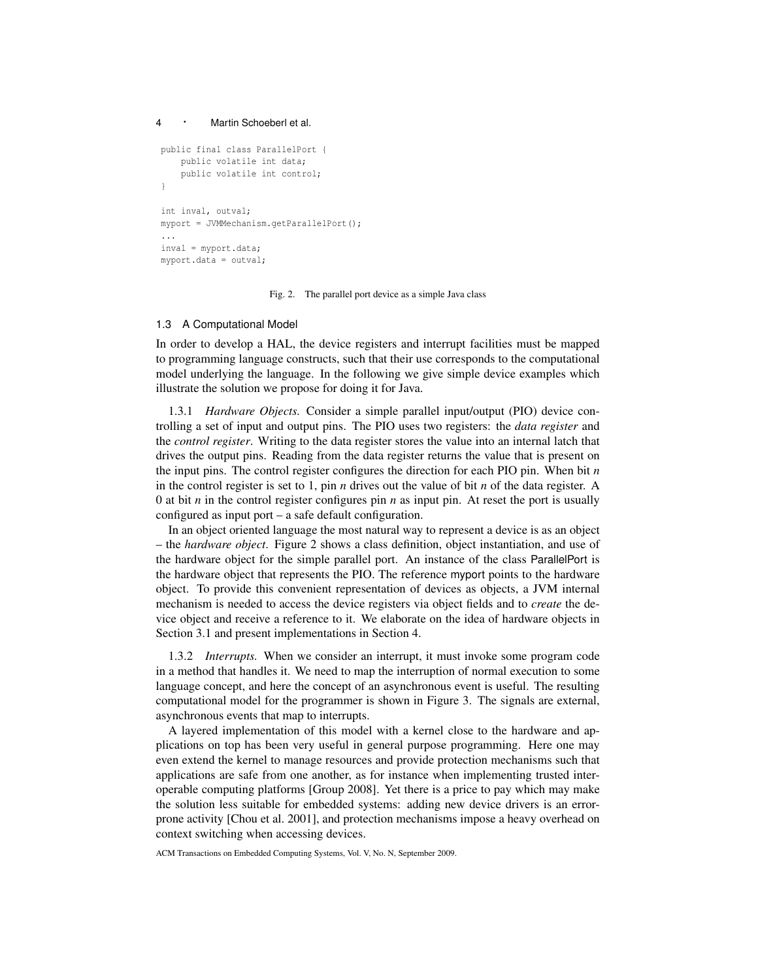```
public final class ParallelPort {
    public volatile int data;
    public volatile int control;
}
int inval, outval;
myport = JVMMechanism.getParallelPort();
inval = myport.data;
myport.data = outval;
```
Fig. 2. The parallel port device as a simple Java class

# 1.3 A Computational Model

In order to develop a HAL, the device registers and interrupt facilities must be mapped to programming language constructs, such that their use corresponds to the computational model underlying the language. In the following we give simple device examples which illustrate the solution we propose for doing it for Java.

1.3.1 *Hardware Objects.* Consider a simple parallel input/output (PIO) device controlling a set of input and output pins. The PIO uses two registers: the *data register* and the *control register*. Writing to the data register stores the value into an internal latch that drives the output pins. Reading from the data register returns the value that is present on the input pins. The control register configures the direction for each PIO pin. When bit *n* in the control register is set to 1, pin *n* drives out the value of bit *n* of the data register. A 0 at bit *n* in the control register configures pin *n* as input pin. At reset the port is usually configured as input port – a safe default configuration.

In an object oriented language the most natural way to represent a device is as an object – the *hardware object*. Figure 2 shows a class definition, object instantiation, and use of the hardware object for the simple parallel port. An instance of the class ParallelPort is the hardware object that represents the PIO. The reference myport points to the hardware object. To provide this convenient representation of devices as objects, a JVM internal mechanism is needed to access the device registers via object fields and to *create* the device object and receive a reference to it. We elaborate on the idea of hardware objects in Section 3.1 and present implementations in Section 4.

1.3.2 *Interrupts.* When we consider an interrupt, it must invoke some program code in a method that handles it. We need to map the interruption of normal execution to some language concept, and here the concept of an asynchronous event is useful. The resulting computational model for the programmer is shown in Figure 3. The signals are external, asynchronous events that map to interrupts.

A layered implementation of this model with a kernel close to the hardware and applications on top has been very useful in general purpose programming. Here one may even extend the kernel to manage resources and provide protection mechanisms such that applications are safe from one another, as for instance when implementing trusted interoperable computing platforms [Group 2008]. Yet there is a price to pay which may make the solution less suitable for embedded systems: adding new device drivers is an errorprone activity [Chou et al. 2001], and protection mechanisms impose a heavy overhead on context switching when accessing devices.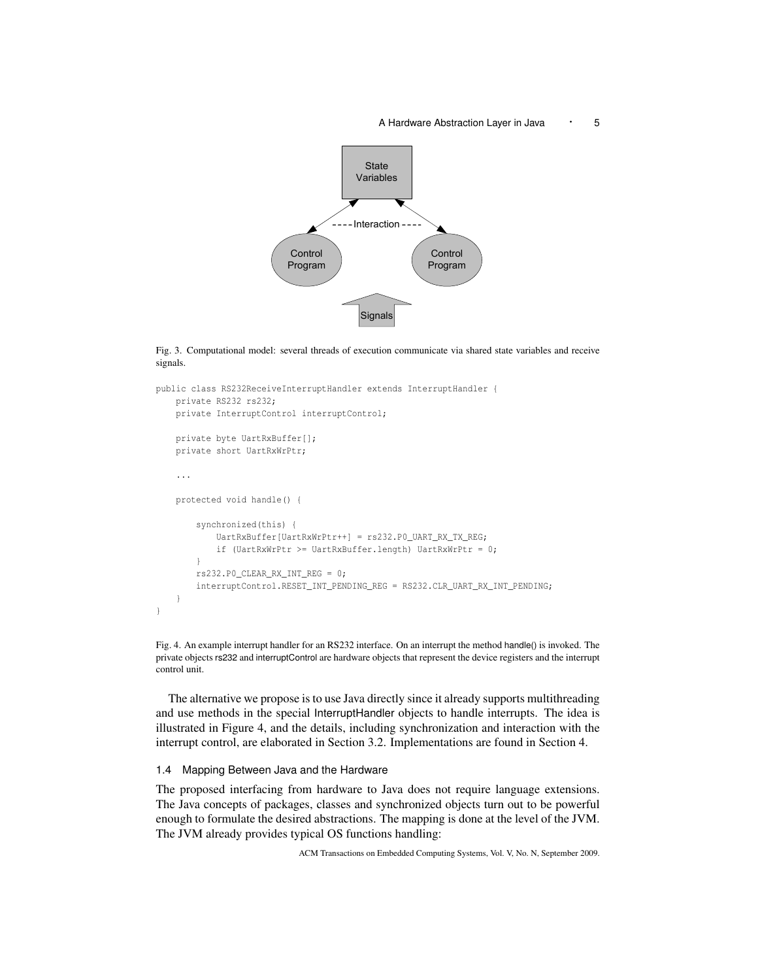#### A Hardware Abstraction Layer in Java **·** 5



Fig. 3. Computational model: several threads of execution communicate via shared state variables and receive signals.

```
public class RS232ReceiveInterruptHandler extends InterruptHandler {
    private RS232 rs232;
    private InterruptControl interruptControl;
    private byte UartRxBuffer[];
    private short UartRxWrPtr;
    ...
    protected void handle() {
        synchronized(this) {
            UartRxBuffer[UartRxWrPtr++] = rs232.P0_UART_RX_TX_REG;
            if (UartRxWrPtr >= UartRxBuffer.length) UartRxWrPtr = 0;
        }
        rs232.P0_CLEAR_RX_INT_REG = 0;
        interruptControl.RESET_INT_PENDING_REG = RS232.CLR_UART_RX_INT_PENDING;
    }
}
```
Fig. 4. An example interrupt handler for an RS232 interface. On an interrupt the method handle() is invoked. The private objects rs232 and interruptControl are hardware objects that represent the device registers and the interrupt control unit.

The alternative we propose is to use Java directly since it already supports multithreading and use methods in the special InterruptHandler objects to handle interrupts. The idea is illustrated in Figure 4, and the details, including synchronization and interaction with the interrupt control, are elaborated in Section 3.2. Implementations are found in Section 4.

# 1.4 Mapping Between Java and the Hardware

The proposed interfacing from hardware to Java does not require language extensions. The Java concepts of packages, classes and synchronized objects turn out to be powerful enough to formulate the desired abstractions. The mapping is done at the level of the JVM. The JVM already provides typical OS functions handling: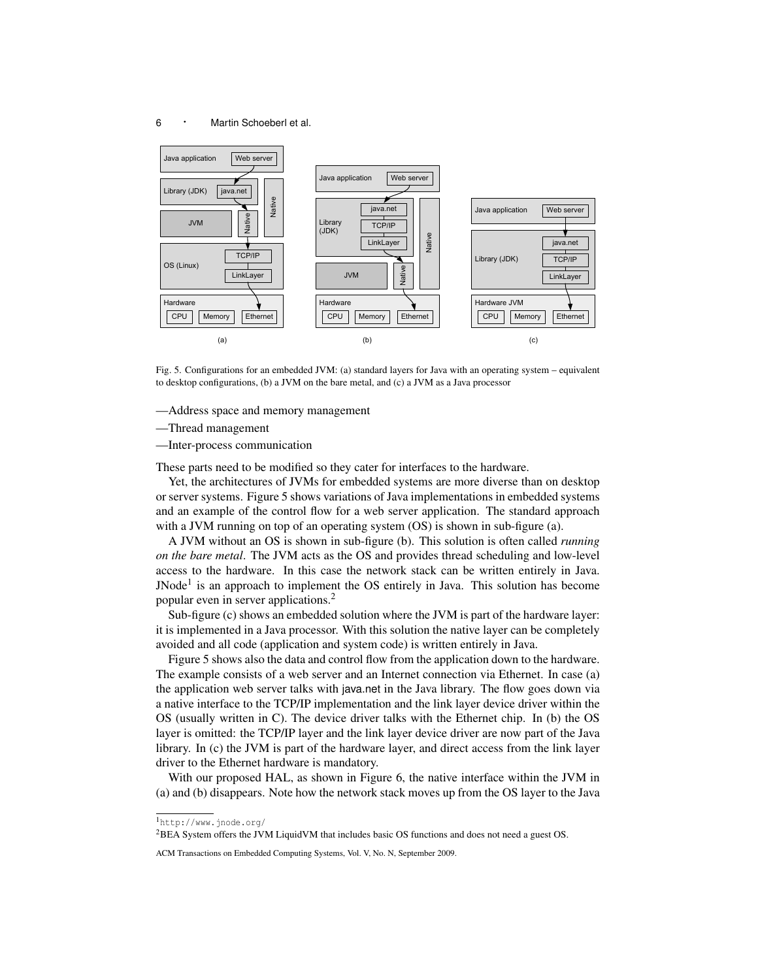

Fig. 5. Configurations for an embedded JVM: (a) standard layers for Java with an operating system – equivalent to desktop configurations, (b) a JVM on the bare metal, and (c) a JVM as a Java processor

- —Address space and memory management
- —Thread management
- —Inter-process communication

These parts need to be modified so they cater for interfaces to the hardware.

Yet, the architectures of JVMs for embedded systems are more diverse than on desktop or server systems. Figure 5 shows variations of Java implementations in embedded systems and an example of the control flow for a web server application. The standard approach with a JVM running on top of an operating system (OS) is shown in sub-figure (a).

A JVM without an OS is shown in sub-figure (b). This solution is often called *running on the bare metal*. The JVM acts as the OS and provides thread scheduling and low-level access to the hardware. In this case the network stack can be written entirely in Java. JNode<sup>1</sup> is an approach to implement the OS entirely in Java. This solution has become popular even in server applications.<sup>2</sup>

Sub-figure (c) shows an embedded solution where the JVM is part of the hardware layer: it is implemented in a Java processor. With this solution the native layer can be completely avoided and all code (application and system code) is written entirely in Java.

Figure 5 shows also the data and control flow from the application down to the hardware. The example consists of a web server and an Internet connection via Ethernet. In case (a) the application web server talks with java.net in the Java library. The flow goes down via a native interface to the TCP/IP implementation and the link layer device driver within the OS (usually written in C). The device driver talks with the Ethernet chip. In (b) the OS layer is omitted: the TCP/IP layer and the link layer device driver are now part of the Java library. In (c) the JVM is part of the hardware layer, and direct access from the link layer driver to the Ethernet hardware is mandatory.

With our proposed HAL, as shown in Figure 6, the native interface within the JVM in (a) and (b) disappears. Note how the network stack moves up from the OS layer to the Java

<sup>1</sup>http://www.jnode.org/

<sup>&</sup>lt;sup>2</sup>BEA System offers the JVM LiquidVM that includes basic OS functions and does not need a guest OS.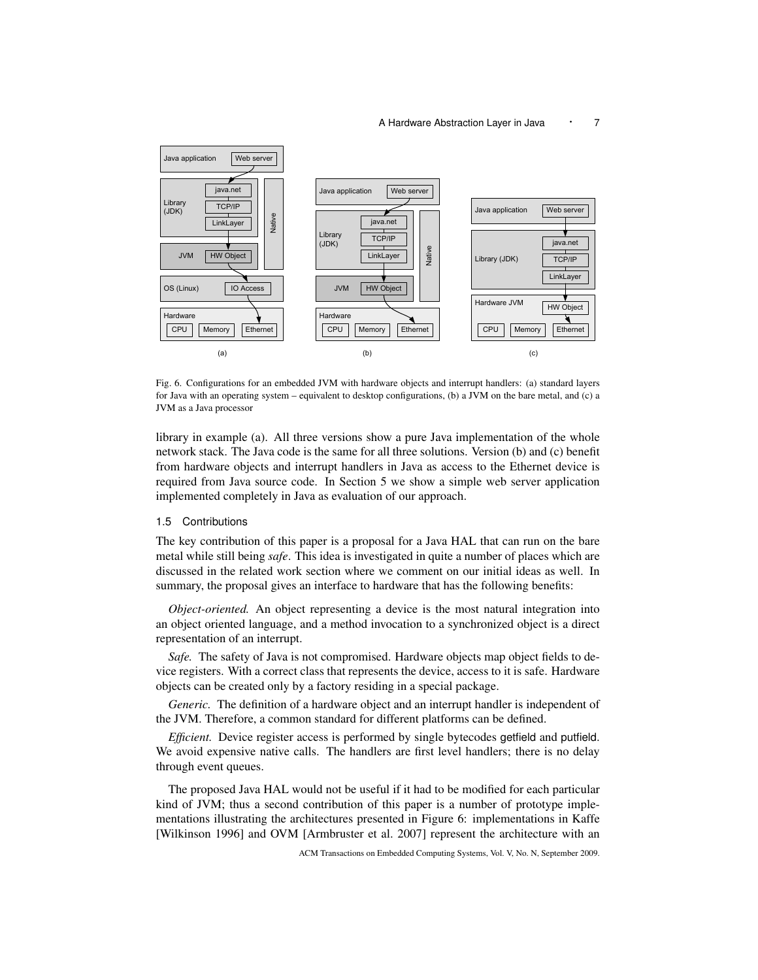

Fig. 6. Configurations for an embedded JVM with hardware objects and interrupt handlers: (a) standard layers for Java with an operating system – equivalent to desktop configurations, (b) a JVM on the bare metal, and (c) a JVM as a Java processor

library in example (a). All three versions show a pure Java implementation of the whole network stack. The Java code is the same for all three solutions. Version (b) and (c) benefit from hardware objects and interrupt handlers in Java as access to the Ethernet device is required from Java source code. In Section 5 we show a simple web server application implemented completely in Java as evaluation of our approach.

## 1.5 Contributions

The key contribution of this paper is a proposal for a Java HAL that can run on the bare metal while still being *safe*. This idea is investigated in quite a number of places which are discussed in the related work section where we comment on our initial ideas as well. In summary, the proposal gives an interface to hardware that has the following benefits:

*Object-oriented.* An object representing a device is the most natural integration into an object oriented language, and a method invocation to a synchronized object is a direct representation of an interrupt.

*Safe.* The safety of Java is not compromised. Hardware objects map object fields to device registers. With a correct class that represents the device, access to it is safe. Hardware objects can be created only by a factory residing in a special package.

*Generic.* The definition of a hardware object and an interrupt handler is independent of the JVM. Therefore, a common standard for different platforms can be defined.

*Efficient.* Device register access is performed by single bytecodes getfield and putfield. We avoid expensive native calls. The handlers are first level handlers; there is no delay through event queues.

The proposed Java HAL would not be useful if it had to be modified for each particular kind of JVM; thus a second contribution of this paper is a number of prototype implementations illustrating the architectures presented in Figure 6: implementations in Kaffe [Wilkinson 1996] and OVM [Armbruster et al. 2007] represent the architecture with an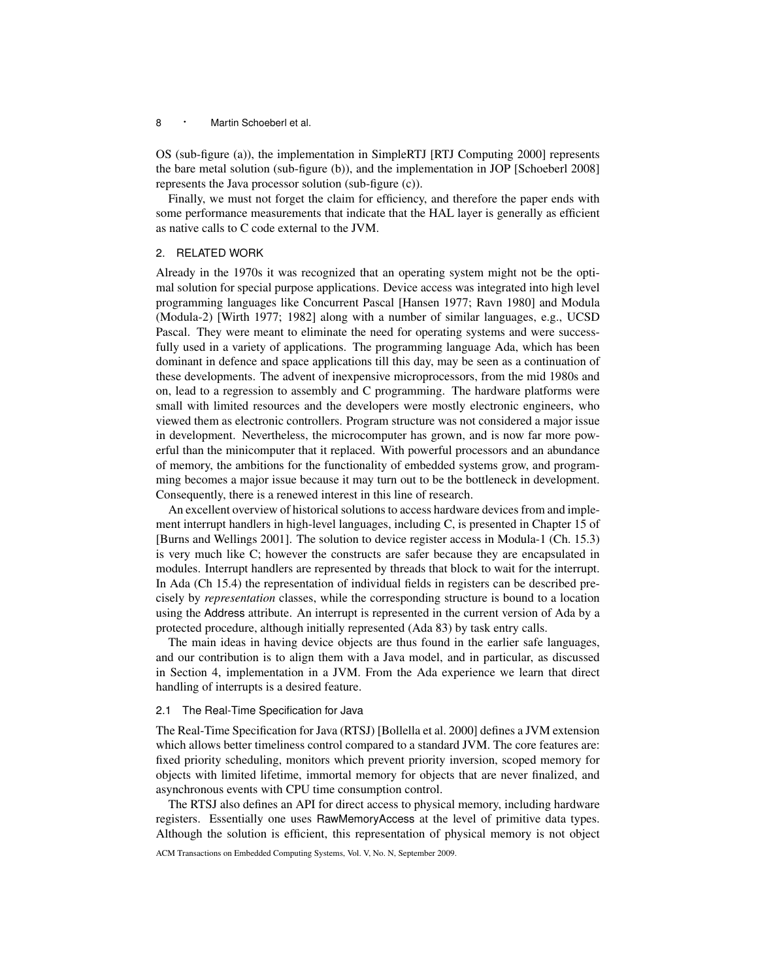OS (sub-figure (a)), the implementation in SimpleRTJ [RTJ Computing 2000] represents the bare metal solution (sub-figure (b)), and the implementation in JOP [Schoeberl 2008] represents the Java processor solution (sub-figure (c)).

Finally, we must not forget the claim for efficiency, and therefore the paper ends with some performance measurements that indicate that the HAL layer is generally as efficient as native calls to C code external to the JVM.

# 2. RELATED WORK

Already in the 1970s it was recognized that an operating system might not be the optimal solution for special purpose applications. Device access was integrated into high level programming languages like Concurrent Pascal [Hansen 1977; Ravn 1980] and Modula (Modula-2) [Wirth 1977; 1982] along with a number of similar languages, e.g., UCSD Pascal. They were meant to eliminate the need for operating systems and were successfully used in a variety of applications. The programming language Ada, which has been dominant in defence and space applications till this day, may be seen as a continuation of these developments. The advent of inexpensive microprocessors, from the mid 1980s and on, lead to a regression to assembly and C programming. The hardware platforms were small with limited resources and the developers were mostly electronic engineers, who viewed them as electronic controllers. Program structure was not considered a major issue in development. Nevertheless, the microcomputer has grown, and is now far more powerful than the minicomputer that it replaced. With powerful processors and an abundance of memory, the ambitions for the functionality of embedded systems grow, and programming becomes a major issue because it may turn out to be the bottleneck in development. Consequently, there is a renewed interest in this line of research.

An excellent overview of historical solutions to access hardware devices from and implement interrupt handlers in high-level languages, including C, is presented in Chapter 15 of [Burns and Wellings 2001]. The solution to device register access in Modula-1 (Ch. 15.3) is very much like C; however the constructs are safer because they are encapsulated in modules. Interrupt handlers are represented by threads that block to wait for the interrupt. In Ada (Ch 15.4) the representation of individual fields in registers can be described precisely by *representation* classes, while the corresponding structure is bound to a location using the Address attribute. An interrupt is represented in the current version of Ada by a protected procedure, although initially represented (Ada 83) by task entry calls.

The main ideas in having device objects are thus found in the earlier safe languages, and our contribution is to align them with a Java model, and in particular, as discussed in Section 4, implementation in a JVM. From the Ada experience we learn that direct handling of interrupts is a desired feature.

#### 2.1 The Real-Time Specification for Java

The Real-Time Specification for Java (RTSJ) [Bollella et al. 2000] defines a JVM extension which allows better timeliness control compared to a standard JVM. The core features are: fixed priority scheduling, monitors which prevent priority inversion, scoped memory for objects with limited lifetime, immortal memory for objects that are never finalized, and asynchronous events with CPU time consumption control.

The RTSJ also defines an API for direct access to physical memory, including hardware registers. Essentially one uses RawMemoryAccess at the level of primitive data types. Although the solution is efficient, this representation of physical memory is not object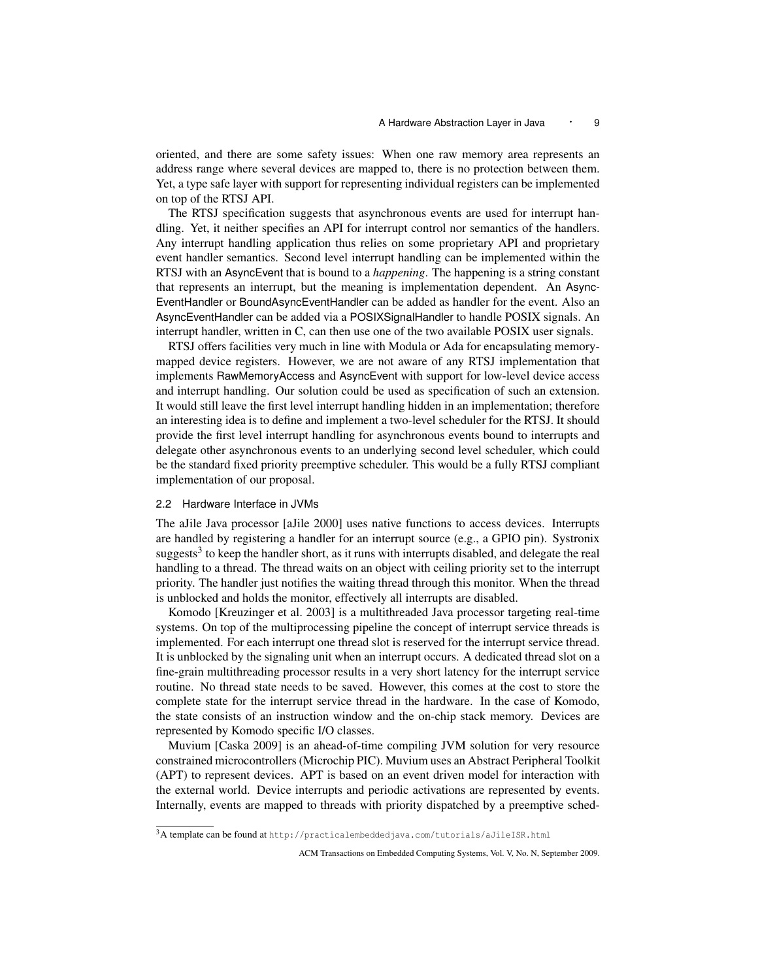oriented, and there are some safety issues: When one raw memory area represents an address range where several devices are mapped to, there is no protection between them. Yet, a type safe layer with support for representing individual registers can be implemented on top of the RTSJ API.

The RTSJ specification suggests that asynchronous events are used for interrupt handling. Yet, it neither specifies an API for interrupt control nor semantics of the handlers. Any interrupt handling application thus relies on some proprietary API and proprietary event handler semantics. Second level interrupt handling can be implemented within the RTSJ with an AsyncEvent that is bound to a *happening*. The happening is a string constant that represents an interrupt, but the meaning is implementation dependent. An Async-EventHandler or BoundAsyncEventHandler can be added as handler for the event. Also an AsyncEventHandler can be added via a POSIXSignalHandler to handle POSIX signals. An interrupt handler, written in C, can then use one of the two available POSIX user signals.

RTSJ offers facilities very much in line with Modula or Ada for encapsulating memorymapped device registers. However, we are not aware of any RTSJ implementation that implements RawMemoryAccess and AsyncEvent with support for low-level device access and interrupt handling. Our solution could be used as specification of such an extension. It would still leave the first level interrupt handling hidden in an implementation; therefore an interesting idea is to define and implement a two-level scheduler for the RTSJ. It should provide the first level interrupt handling for asynchronous events bound to interrupts and delegate other asynchronous events to an underlying second level scheduler, which could be the standard fixed priority preemptive scheduler. This would be a fully RTSJ compliant implementation of our proposal.

# 2.2 Hardware Interface in JVMs

The aJile Java processor [aJile 2000] uses native functions to access devices. Interrupts are handled by registering a handler for an interrupt source (e.g., a GPIO pin). Systronix suggests<sup>3</sup> to keep the handler short, as it runs with interrupts disabled, and delegate the real handling to a thread. The thread waits on an object with ceiling priority set to the interrupt priority. The handler just notifies the waiting thread through this monitor. When the thread is unblocked and holds the monitor, effectively all interrupts are disabled.

Komodo [Kreuzinger et al. 2003] is a multithreaded Java processor targeting real-time systems. On top of the multiprocessing pipeline the concept of interrupt service threads is implemented. For each interrupt one thread slot is reserved for the interrupt service thread. It is unblocked by the signaling unit when an interrupt occurs. A dedicated thread slot on a fine-grain multithreading processor results in a very short latency for the interrupt service routine. No thread state needs to be saved. However, this comes at the cost to store the complete state for the interrupt service thread in the hardware. In the case of Komodo, the state consists of an instruction window and the on-chip stack memory. Devices are represented by Komodo specific I/O classes.

Muvium [Caska 2009] is an ahead-of-time compiling JVM solution for very resource constrained microcontrollers (Microchip PIC). Muvium uses an Abstract Peripheral Toolkit (APT) to represent devices. APT is based on an event driven model for interaction with the external world. Device interrupts and periodic activations are represented by events. Internally, events are mapped to threads with priority dispatched by a preemptive sched-

 $3A$  template can be found at http://practicalembeddedjava.com/tutorials/aJileISR.html

ACM Transactions on Embedded Computing Systems, Vol. V, No. N, September 2009.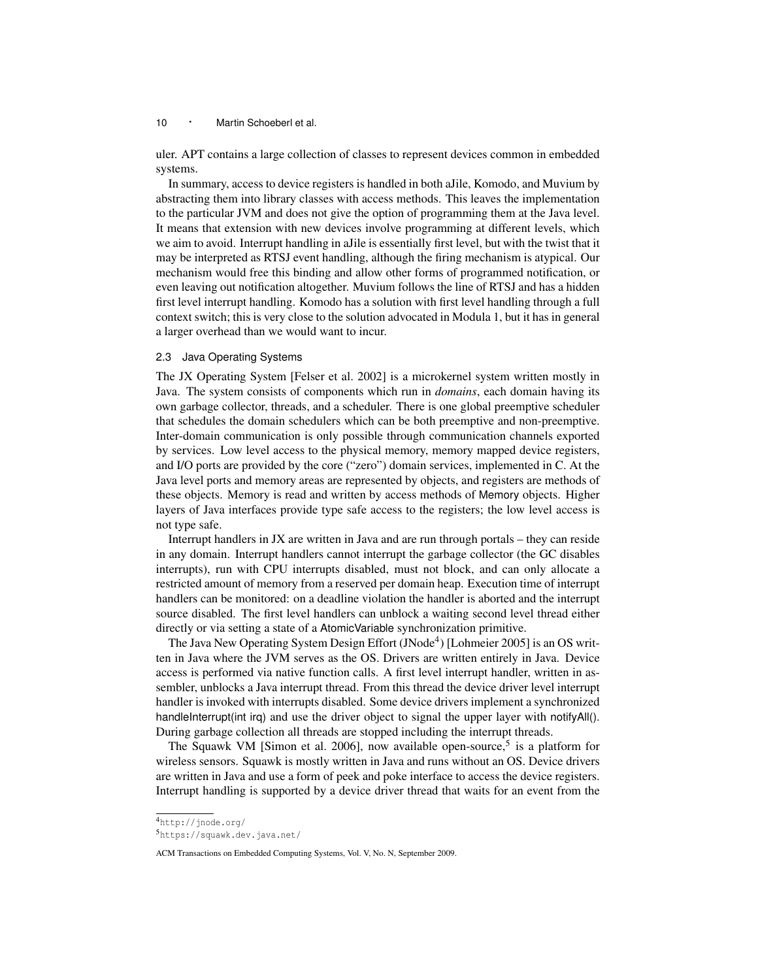uler. APT contains a large collection of classes to represent devices common in embedded systems.

In summary, access to device registers is handled in both aJile, Komodo, and Muvium by abstracting them into library classes with access methods. This leaves the implementation to the particular JVM and does not give the option of programming them at the Java level. It means that extension with new devices involve programming at different levels, which we aim to avoid. Interrupt handling in aJile is essentially first level, but with the twist that it may be interpreted as RTSJ event handling, although the firing mechanism is atypical. Our mechanism would free this binding and allow other forms of programmed notification, or even leaving out notification altogether. Muvium follows the line of RTSJ and has a hidden first level interrupt handling. Komodo has a solution with first level handling through a full context switch; this is very close to the solution advocated in Modula 1, but it has in general a larger overhead than we would want to incur.

# 2.3 Java Operating Systems

The JX Operating System [Felser et al. 2002] is a microkernel system written mostly in Java. The system consists of components which run in *domains*, each domain having its own garbage collector, threads, and a scheduler. There is one global preemptive scheduler that schedules the domain schedulers which can be both preemptive and non-preemptive. Inter-domain communication is only possible through communication channels exported by services. Low level access to the physical memory, memory mapped device registers, and I/O ports are provided by the core ("zero") domain services, implemented in C. At the Java level ports and memory areas are represented by objects, and registers are methods of these objects. Memory is read and written by access methods of Memory objects. Higher layers of Java interfaces provide type safe access to the registers; the low level access is not type safe.

Interrupt handlers in JX are written in Java and are run through portals – they can reside in any domain. Interrupt handlers cannot interrupt the garbage collector (the GC disables interrupts), run with CPU interrupts disabled, must not block, and can only allocate a restricted amount of memory from a reserved per domain heap. Execution time of interrupt handlers can be monitored: on a deadline violation the handler is aborted and the interrupt source disabled. The first level handlers can unblock a waiting second level thread either directly or via setting a state of a AtomicVariable synchronization primitive.

The Java New Operating System Design Effort (JNode<sup>4</sup>) [Lohmeier 2005] is an OS written in Java where the JVM serves as the OS. Drivers are written entirely in Java. Device access is performed via native function calls. A first level interrupt handler, written in assembler, unblocks a Java interrupt thread. From this thread the device driver level interrupt handler is invoked with interrupts disabled. Some device drivers implement a synchronized handleInterrupt(int irq) and use the driver object to signal the upper layer with notifyAll(). During garbage collection all threads are stopped including the interrupt threads.

The Squawk VM [Simon et al. 2006], now available open-source,<sup>5</sup> is a platform for wireless sensors. Squawk is mostly written in Java and runs without an OS. Device drivers are written in Java and use a form of peek and poke interface to access the device registers. Interrupt handling is supported by a device driver thread that waits for an event from the

<sup>4</sup>http://jnode.org/

<sup>5</sup>https://squawk.dev.java.net/

ACM Transactions on Embedded Computing Systems, Vol. V, No. N, September 2009.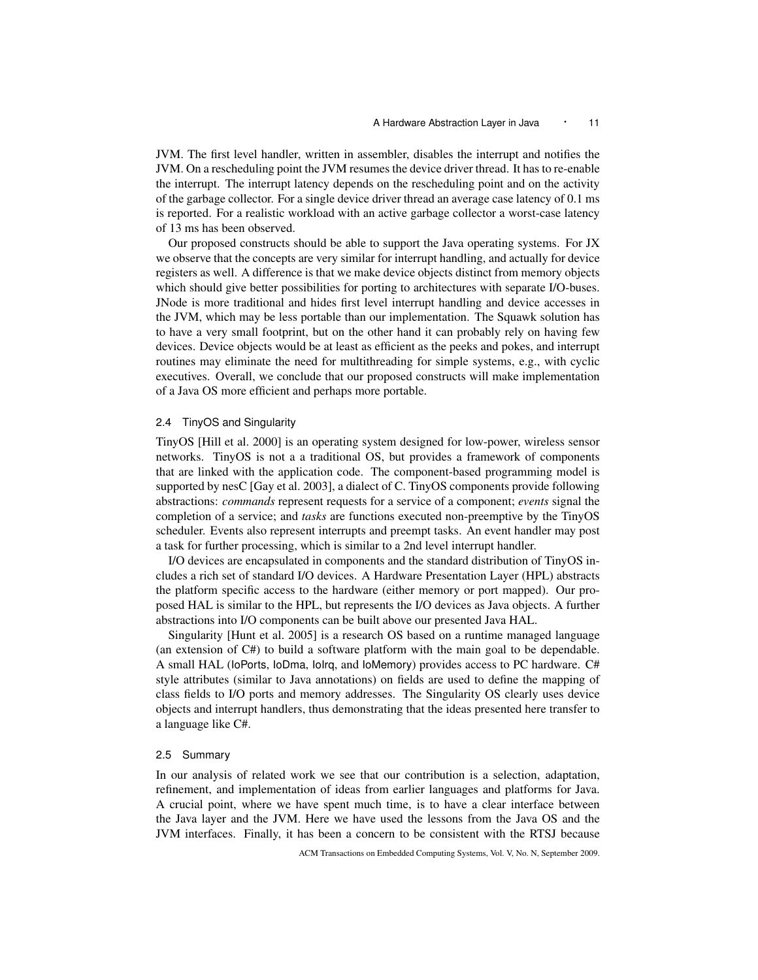JVM. The first level handler, written in assembler, disables the interrupt and notifies the JVM. On a rescheduling point the JVM resumes the device driver thread. It has to re-enable the interrupt. The interrupt latency depends on the rescheduling point and on the activity of the garbage collector. For a single device driver thread an average case latency of 0.1 ms is reported. For a realistic workload with an active garbage collector a worst-case latency of 13 ms has been observed.

Our proposed constructs should be able to support the Java operating systems. For JX we observe that the concepts are very similar for interrupt handling, and actually for device registers as well. A difference is that we make device objects distinct from memory objects which should give better possibilities for porting to architectures with separate I/O-buses. JNode is more traditional and hides first level interrupt handling and device accesses in the JVM, which may be less portable than our implementation. The Squawk solution has to have a very small footprint, but on the other hand it can probably rely on having few devices. Device objects would be at least as efficient as the peeks and pokes, and interrupt routines may eliminate the need for multithreading for simple systems, e.g., with cyclic executives. Overall, we conclude that our proposed constructs will make implementation of a Java OS more efficient and perhaps more portable.

# 2.4 TinyOS and Singularity

TinyOS [Hill et al. 2000] is an operating system designed for low-power, wireless sensor networks. TinyOS is not a a traditional OS, but provides a framework of components that are linked with the application code. The component-based programming model is supported by nesC [Gay et al. 2003], a dialect of C. TinyOS components provide following abstractions: *commands* represent requests for a service of a component; *events* signal the completion of a service; and *tasks* are functions executed non-preemptive by the TinyOS scheduler. Events also represent interrupts and preempt tasks. An event handler may post a task for further processing, which is similar to a 2nd level interrupt handler.

I/O devices are encapsulated in components and the standard distribution of TinyOS includes a rich set of standard I/O devices. A Hardware Presentation Layer (HPL) abstracts the platform specific access to the hardware (either memory or port mapped). Our proposed HAL is similar to the HPL, but represents the I/O devices as Java objects. A further abstractions into I/O components can be built above our presented Java HAL.

Singularity [Hunt et al. 2005] is a research OS based on a runtime managed language (an extension of C#) to build a software platform with the main goal to be dependable. A small HAL (IoPorts, IoDma, IoIrq, and IoMemory) provides access to PC hardware. C# style attributes (similar to Java annotations) on fields are used to define the mapping of class fields to I/O ports and memory addresses. The Singularity OS clearly uses device objects and interrupt handlers, thus demonstrating that the ideas presented here transfer to a language like C#.

# 2.5 Summary

In our analysis of related work we see that our contribution is a selection, adaptation, refinement, and implementation of ideas from earlier languages and platforms for Java. A crucial point, where we have spent much time, is to have a clear interface between the Java layer and the JVM. Here we have used the lessons from the Java OS and the JVM interfaces. Finally, it has been a concern to be consistent with the RTSJ because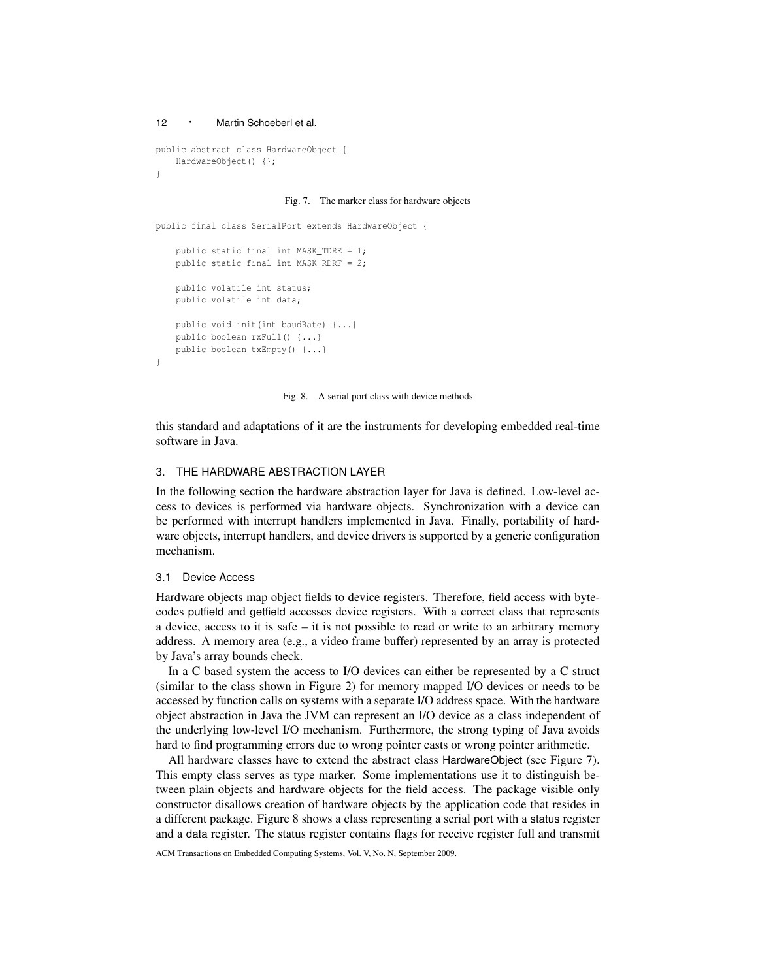```
public abstract class HardwareObject {
    HardwareObject() {};
}
```
## Fig. 7. The marker class for hardware objects

```
public final class SerialPort extends HardwareObject {
```

```
public static final int MASK_TDRE = 1;
public static final int MASK_RDRF = 2;
public volatile int status;
public volatile int data;
public void init(int baudRate) {...}
public boolean rxFull() {...}
public boolean txEmpty() {...}
```
Fig. 8. A serial port class with device methods

this standard and adaptations of it are the instruments for developing embedded real-time software in Java.

## 3. THE HARDWARE ABSTRACTION LAYER

In the following section the hardware abstraction layer for Java is defined. Low-level access to devices is performed via hardware objects. Synchronization with a device can be performed with interrupt handlers implemented in Java. Finally, portability of hardware objects, interrupt handlers, and device drivers is supported by a generic configuration mechanism.

#### 3.1 Device Access

}

Hardware objects map object fields to device registers. Therefore, field access with bytecodes putfield and getfield accesses device registers. With a correct class that represents a device, access to it is safe – it is not possible to read or write to an arbitrary memory address. A memory area (e.g., a video frame buffer) represented by an array is protected by Java's array bounds check.

In a C based system the access to I/O devices can either be represented by a C struct (similar to the class shown in Figure 2) for memory mapped I/O devices or needs to be accessed by function calls on systems with a separate I/O address space. With the hardware object abstraction in Java the JVM can represent an I/O device as a class independent of the underlying low-level I/O mechanism. Furthermore, the strong typing of Java avoids hard to find programming errors due to wrong pointer casts or wrong pointer arithmetic.

All hardware classes have to extend the abstract class HardwareObject (see Figure 7). This empty class serves as type marker. Some implementations use it to distinguish between plain objects and hardware objects for the field access. The package visible only constructor disallows creation of hardware objects by the application code that resides in a different package. Figure 8 shows a class representing a serial port with a status register and a data register. The status register contains flags for receive register full and transmit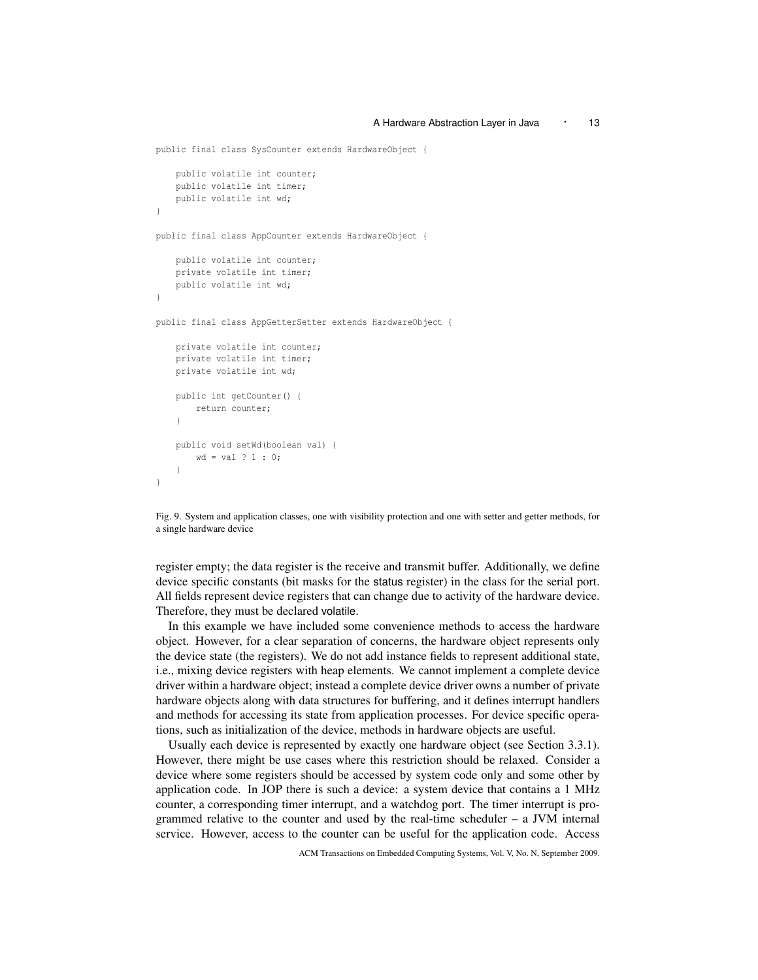#### A Hardware Abstraction Layer in Java 13

```
public final class SysCounter extends HardwareObject {
    public volatile int counter;
    public volatile int timer;
    public volatile int wd;
}
public final class AppCounter extends HardwareObject {
    public volatile int counter;
    private volatile int timer;
    public volatile int wd;
}
public final class AppGetterSetter extends HardwareObject {
    private volatile int counter;
    private volatile int timer;
    private volatile int wd;
    public int getCounter() {
        return counter;
    }
    public void setWd(boolean val) {
       wd = val ? 1 : 0;}
}
```
Fig. 9. System and application classes, one with visibility protection and one with setter and getter methods, for a single hardware device

register empty; the data register is the receive and transmit buffer. Additionally, we define device specific constants (bit masks for the status register) in the class for the serial port. All fields represent device registers that can change due to activity of the hardware device. Therefore, they must be declared volatile.

In this example we have included some convenience methods to access the hardware object. However, for a clear separation of concerns, the hardware object represents only the device state (the registers). We do not add instance fields to represent additional state, i.e., mixing device registers with heap elements. We cannot implement a complete device driver within a hardware object; instead a complete device driver owns a number of private hardware objects along with data structures for buffering, and it defines interrupt handlers and methods for accessing its state from application processes. For device specific operations, such as initialization of the device, methods in hardware objects are useful.

Usually each device is represented by exactly one hardware object (see Section 3.3.1). However, there might be use cases where this restriction should be relaxed. Consider a device where some registers should be accessed by system code only and some other by application code. In JOP there is such a device: a system device that contains a 1 MHz counter, a corresponding timer interrupt, and a watchdog port. The timer interrupt is programmed relative to the counter and used by the real-time scheduler  $-$  a JVM internal service. However, access to the counter can be useful for the application code. Access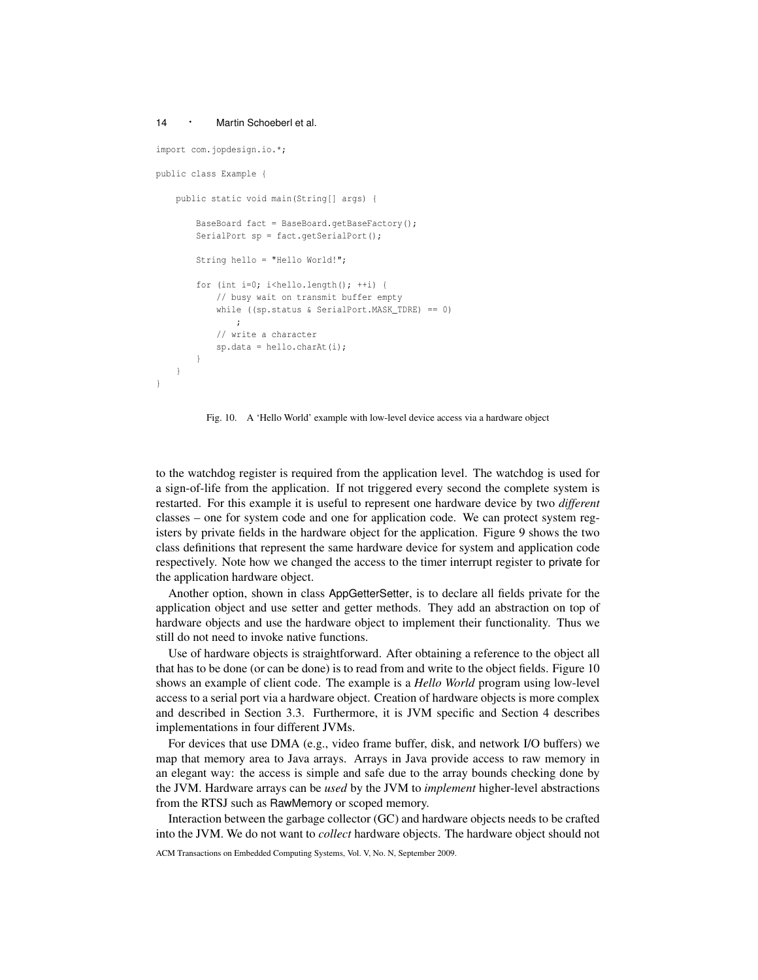```
import com.jopdesign.io.*;
public class Example {
    public static void main(String[] args) {
        BaseBoard fact = BaseBoard.getBaseFactory();
        SerialPort sp = fact.getSerialPort();
        String hello = "Hello World!";
        for (int i=0; i<hello.length(); ++i) {
            // busy wait on transmit buffer empty
            while ((sp.status & SerialPort.MASK_TDRE) == 0)
                ;
            // write a character
            sp.data = hello.charAt(i);
        }
    }
}
```
Fig. 10. A 'Hello World' example with low-level device access via a hardware object

to the watchdog register is required from the application level. The watchdog is used for a sign-of-life from the application. If not triggered every second the complete system is restarted. For this example it is useful to represent one hardware device by two *different* classes – one for system code and one for application code. We can protect system registers by private fields in the hardware object for the application. Figure 9 shows the two class definitions that represent the same hardware device for system and application code respectively. Note how we changed the access to the timer interrupt register to private for the application hardware object.

Another option, shown in class AppGetterSetter, is to declare all fields private for the application object and use setter and getter methods. They add an abstraction on top of hardware objects and use the hardware object to implement their functionality. Thus we still do not need to invoke native functions.

Use of hardware objects is straightforward. After obtaining a reference to the object all that has to be done (or can be done) is to read from and write to the object fields. Figure 10 shows an example of client code. The example is a *Hello World* program using low-level access to a serial port via a hardware object. Creation of hardware objects is more complex and described in Section 3.3. Furthermore, it is JVM specific and Section 4 describes implementations in four different JVMs.

For devices that use DMA (e.g., video frame buffer, disk, and network I/O buffers) we map that memory area to Java arrays. Arrays in Java provide access to raw memory in an elegant way: the access is simple and safe due to the array bounds checking done by the JVM. Hardware arrays can be *used* by the JVM to *implement* higher-level abstractions from the RTSJ such as RawMemory or scoped memory.

Interaction between the garbage collector (GC) and hardware objects needs to be crafted into the JVM. We do not want to *collect* hardware objects. The hardware object should not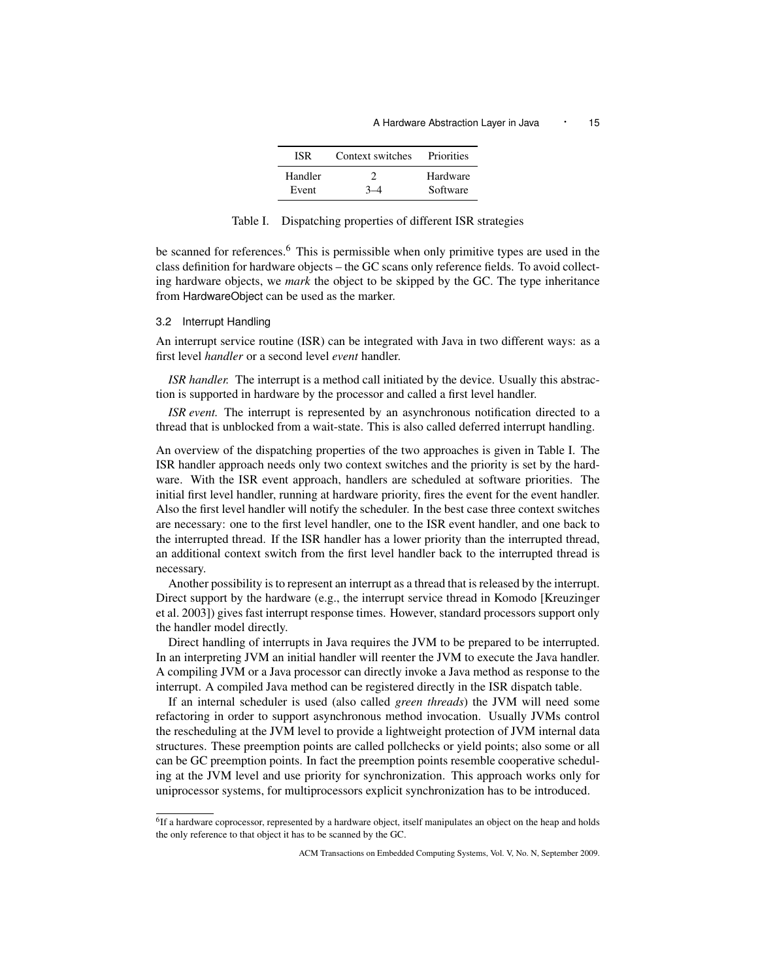| ISR              | Context switches | Priorities           |
|------------------|------------------|----------------------|
| Handler<br>Event |                  | Hardware<br>Software |

Table I. Dispatching properties of different ISR strategies

be scanned for references.<sup>6</sup> This is permissible when only primitive types are used in the class definition for hardware objects – the GC scans only reference fields. To avoid collecting hardware objects, we *mark* the object to be skipped by the GC. The type inheritance from HardwareObject can be used as the marker.

# 3.2 Interrupt Handling

An interrupt service routine (ISR) can be integrated with Java in two different ways: as a first level *handler* or a second level *event* handler.

*ISR handler.* The interrupt is a method call initiated by the device. Usually this abstraction is supported in hardware by the processor and called a first level handler.

*ISR event.* The interrupt is represented by an asynchronous notification directed to a thread that is unblocked from a wait-state. This is also called deferred interrupt handling.

An overview of the dispatching properties of the two approaches is given in Table I. The ISR handler approach needs only two context switches and the priority is set by the hardware. With the ISR event approach, handlers are scheduled at software priorities. The initial first level handler, running at hardware priority, fires the event for the event handler. Also the first level handler will notify the scheduler. In the best case three context switches are necessary: one to the first level handler, one to the ISR event handler, and one back to the interrupted thread. If the ISR handler has a lower priority than the interrupted thread, an additional context switch from the first level handler back to the interrupted thread is necessary.

Another possibility is to represent an interrupt as a thread that is released by the interrupt. Direct support by the hardware (e.g., the interrupt service thread in Komodo [Kreuzinger et al. 2003]) gives fast interrupt response times. However, standard processors support only the handler model directly.

Direct handling of interrupts in Java requires the JVM to be prepared to be interrupted. In an interpreting JVM an initial handler will reenter the JVM to execute the Java handler. A compiling JVM or a Java processor can directly invoke a Java method as response to the interrupt. A compiled Java method can be registered directly in the ISR dispatch table.

If an internal scheduler is used (also called *green threads*) the JVM will need some refactoring in order to support asynchronous method invocation. Usually JVMs control the rescheduling at the JVM level to provide a lightweight protection of JVM internal data structures. These preemption points are called pollchecks or yield points; also some or all can be GC preemption points. In fact the preemption points resemble cooperative scheduling at the JVM level and use priority for synchronization. This approach works only for uniprocessor systems, for multiprocessors explicit synchronization has to be introduced.

<sup>6</sup> If a hardware coprocessor, represented by a hardware object, itself manipulates an object on the heap and holds the only reference to that object it has to be scanned by the GC.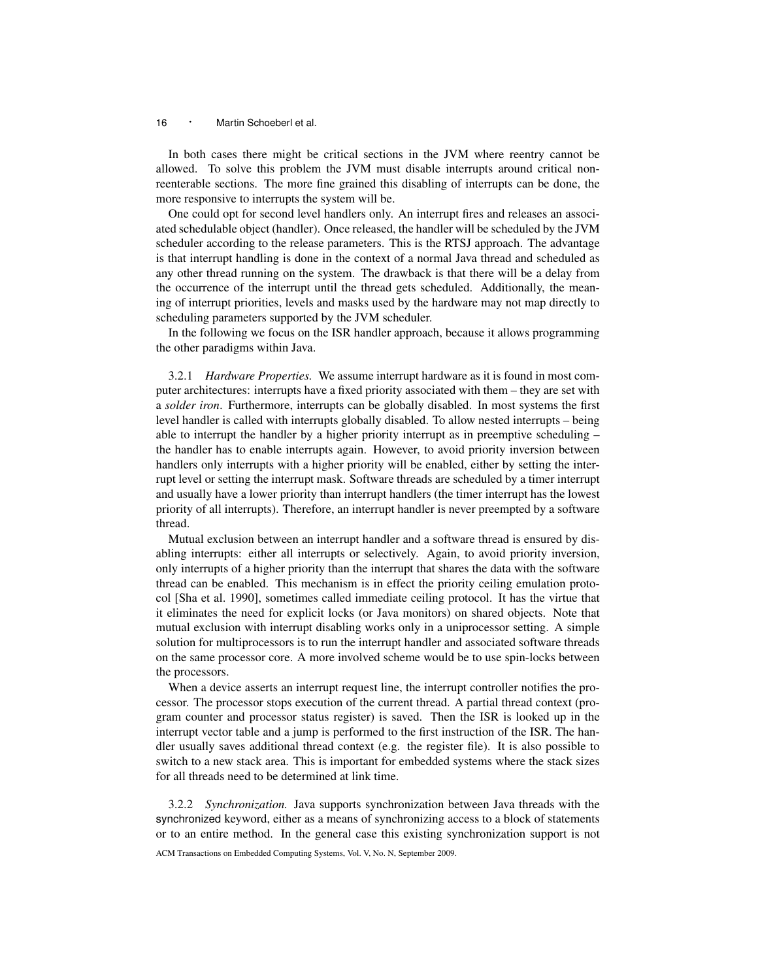In both cases there might be critical sections in the JVM where reentry cannot be allowed. To solve this problem the JVM must disable interrupts around critical nonreenterable sections. The more fine grained this disabling of interrupts can be done, the more responsive to interrupts the system will be.

One could opt for second level handlers only. An interrupt fires and releases an associated schedulable object (handler). Once released, the handler will be scheduled by the JVM scheduler according to the release parameters. This is the RTSJ approach. The advantage is that interrupt handling is done in the context of a normal Java thread and scheduled as any other thread running on the system. The drawback is that there will be a delay from the occurrence of the interrupt until the thread gets scheduled. Additionally, the meaning of interrupt priorities, levels and masks used by the hardware may not map directly to scheduling parameters supported by the JVM scheduler.

In the following we focus on the ISR handler approach, because it allows programming the other paradigms within Java.

3.2.1 *Hardware Properties.* We assume interrupt hardware as it is found in most computer architectures: interrupts have a fixed priority associated with them – they are set with a *solder iron*. Furthermore, interrupts can be globally disabled. In most systems the first level handler is called with interrupts globally disabled. To allow nested interrupts – being able to interrupt the handler by a higher priority interrupt as in preemptive scheduling – the handler has to enable interrupts again. However, to avoid priority inversion between handlers only interrupts with a higher priority will be enabled, either by setting the interrupt level or setting the interrupt mask. Software threads are scheduled by a timer interrupt and usually have a lower priority than interrupt handlers (the timer interrupt has the lowest priority of all interrupts). Therefore, an interrupt handler is never preempted by a software thread.

Mutual exclusion between an interrupt handler and a software thread is ensured by disabling interrupts: either all interrupts or selectively. Again, to avoid priority inversion, only interrupts of a higher priority than the interrupt that shares the data with the software thread can be enabled. This mechanism is in effect the priority ceiling emulation protocol [Sha et al. 1990], sometimes called immediate ceiling protocol. It has the virtue that it eliminates the need for explicit locks (or Java monitors) on shared objects. Note that mutual exclusion with interrupt disabling works only in a uniprocessor setting. A simple solution for multiprocessors is to run the interrupt handler and associated software threads on the same processor core. A more involved scheme would be to use spin-locks between the processors.

When a device asserts an interrupt request line, the interrupt controller notifies the processor. The processor stops execution of the current thread. A partial thread context (program counter and processor status register) is saved. Then the ISR is looked up in the interrupt vector table and a jump is performed to the first instruction of the ISR. The handler usually saves additional thread context (e.g. the register file). It is also possible to switch to a new stack area. This is important for embedded systems where the stack sizes for all threads need to be determined at link time.

3.2.2 *Synchronization.* Java supports synchronization between Java threads with the synchronized keyword, either as a means of synchronizing access to a block of statements or to an entire method. In the general case this existing synchronization support is not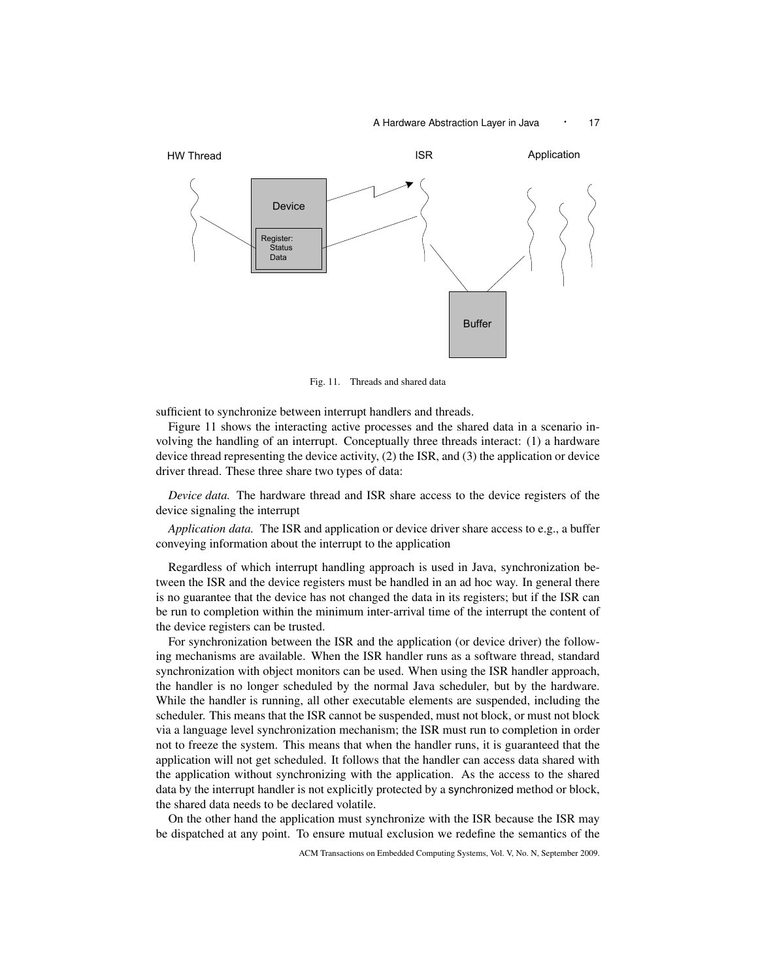#### A Hardware Abstraction Layer in Java 17



Fig. 11. Threads and shared data

sufficient to synchronize between interrupt handlers and threads.

Figure 11 shows the interacting active processes and the shared data in a scenario involving the handling of an interrupt. Conceptually three threads interact: (1) a hardware device thread representing the device activity, (2) the ISR, and (3) the application or device driver thread. These three share two types of data:

*Device data.* The hardware thread and ISR share access to the device registers of the device signaling the interrupt

*Application data.* The ISR and application or device driver share access to e.g., a buffer conveying information about the interrupt to the application

Regardless of which interrupt handling approach is used in Java, synchronization between the ISR and the device registers must be handled in an ad hoc way. In general there is no guarantee that the device has not changed the data in its registers; but if the ISR can be run to completion within the minimum inter-arrival time of the interrupt the content of the device registers can be trusted.

For synchronization between the ISR and the application (or device driver) the following mechanisms are available. When the ISR handler runs as a software thread, standard synchronization with object monitors can be used. When using the ISR handler approach, the handler is no longer scheduled by the normal Java scheduler, but by the hardware. While the handler is running, all other executable elements are suspended, including the scheduler. This means that the ISR cannot be suspended, must not block, or must not block via a language level synchronization mechanism; the ISR must run to completion in order not to freeze the system. This means that when the handler runs, it is guaranteed that the application will not get scheduled. It follows that the handler can access data shared with the application without synchronizing with the application. As the access to the shared data by the interrupt handler is not explicitly protected by a synchronized method or block, the shared data needs to be declared volatile.

On the other hand the application must synchronize with the ISR because the ISR may be dispatched at any point. To ensure mutual exclusion we redefine the semantics of the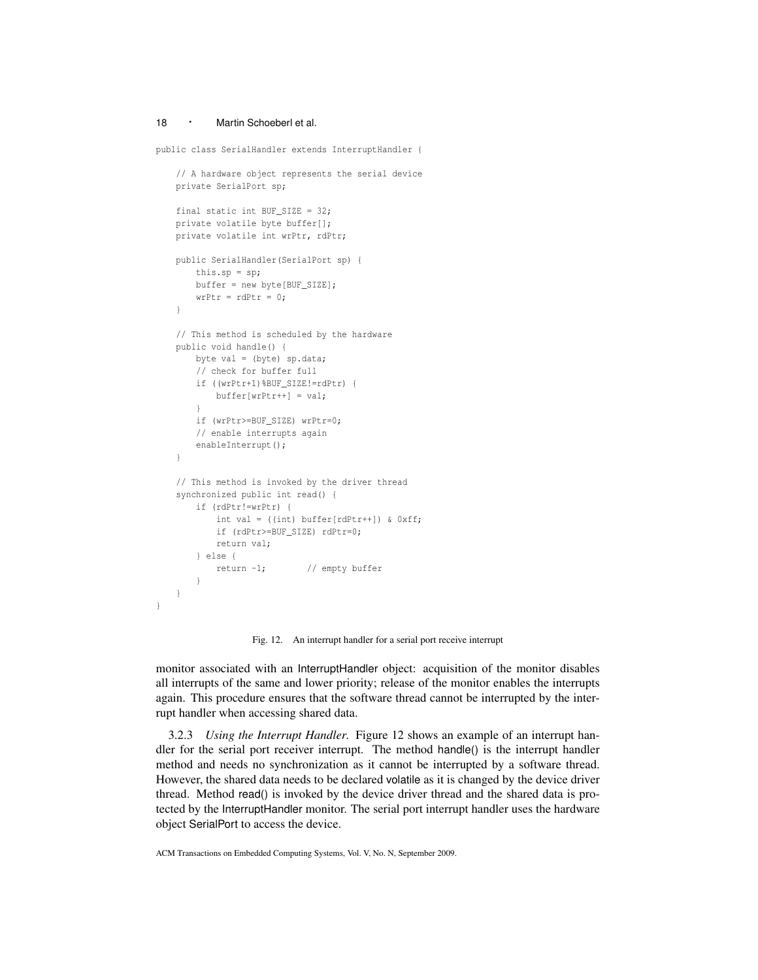}

```
public class SerialHandler extends InterruptHandler {
```

```
// A hardware object represents the serial device
private SerialPort sp;
final static int BUF_SIZE = 32;
private volatile byte buffer[];
private volatile int wrPtr, rdPtr;
public SerialHandler(SerialPort sp) {
   this.sp = sp;
    buffer = new byte[BUF_SIZE];
    wrPtr = rdPtr = 0;}
// This method is scheduled by the hardware
public void handle() {
    byte val = (byte) sp.data;
    // check for buffer full
    if ((wrPtr+1)%BUF SIZE!=rdPtr) {
       buffer[wrPtr++] = val;}
    if (wrPtr>=BUF_SIZE) wrPtr=0;
    // enable interrupts again
    enableInterrupt();
}
// This method is invoked by the driver thread
synchronized public int read() {
    if (rdPtr!=wrPtr) {
       int val = ((int) buffer[rdPtr++]) & 0xff;if (rdPtr>=BUF_SIZE) rdPtr=0;
       return val;
    } else {
        return -1; // empty buffer
    }
}
```
Fig. 12. An interrupt handler for a serial port receive interrupt

monitor associated with an InterruptHandler object: acquisition of the monitor disables all interrupts of the same and lower priority; release of the monitor enables the interrupts again. This procedure ensures that the software thread cannot be interrupted by the interrupt handler when accessing shared data.

3.2.3 *Using the Interrupt Handler.* Figure 12 shows an example of an interrupt handler for the serial port receiver interrupt. The method handle() is the interrupt handler method and needs no synchronization as it cannot be interrupted by a software thread. However, the shared data needs to be declared volatile as it is changed by the device driver thread. Method read() is invoked by the device driver thread and the shared data is protected by the InterruptHandler monitor. The serial port interrupt handler uses the hardware object SerialPort to access the device.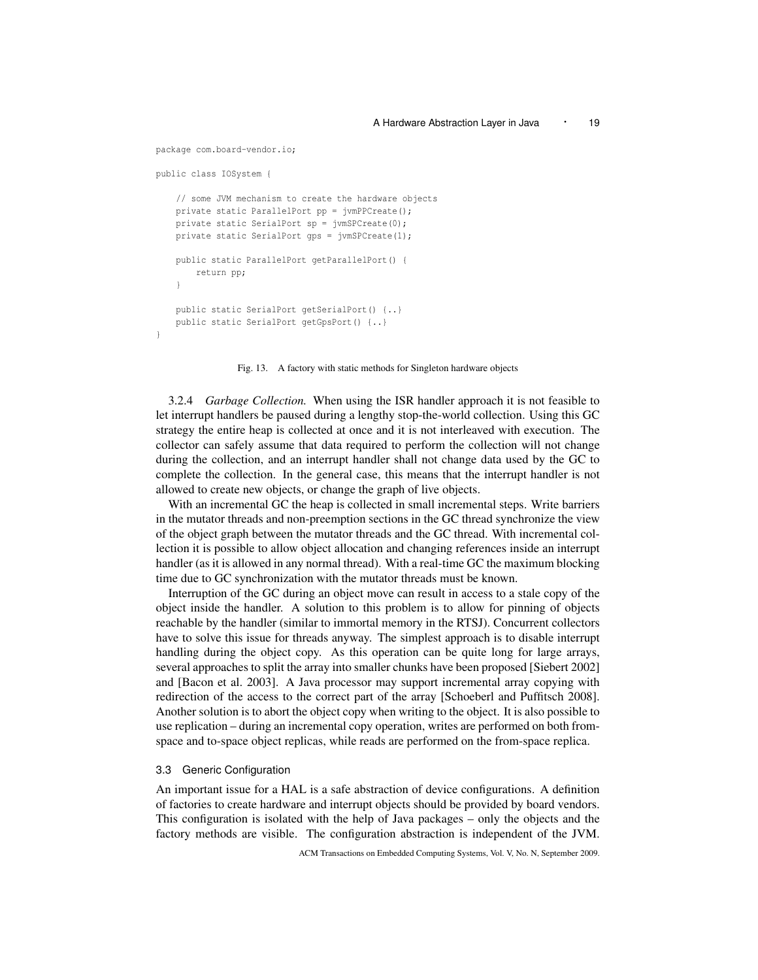package com.board-vendor.io;

```
public class IOSystem {
```
}

```
// some JVM mechanism to create the hardware objects
private static ParallelPort pp = jvmPPCreate();
private static SerialPort sp = jvmSPCreate(0);
private static SerialPort gps = jvmSPCreate(1);
public static ParallelPort getParallelPort() {
   return pp;
}
public static SerialPort getSerialPort() {..}
public static SerialPort getGpsPort() {..}
```
Fig. 13. A factory with static methods for Singleton hardware objects

3.2.4 *Garbage Collection.* When using the ISR handler approach it is not feasible to let interrupt handlers be paused during a lengthy stop-the-world collection. Using this GC strategy the entire heap is collected at once and it is not interleaved with execution. The collector can safely assume that data required to perform the collection will not change during the collection, and an interrupt handler shall not change data used by the GC to complete the collection. In the general case, this means that the interrupt handler is not allowed to create new objects, or change the graph of live objects.

With an incremental GC the heap is collected in small incremental steps. Write barriers in the mutator threads and non-preemption sections in the GC thread synchronize the view of the object graph between the mutator threads and the GC thread. With incremental collection it is possible to allow object allocation and changing references inside an interrupt handler (as it is allowed in any normal thread). With a real-time GC the maximum blocking time due to GC synchronization with the mutator threads must be known.

Interruption of the GC during an object move can result in access to a stale copy of the object inside the handler. A solution to this problem is to allow for pinning of objects reachable by the handler (similar to immortal memory in the RTSJ). Concurrent collectors have to solve this issue for threads anyway. The simplest approach is to disable interrupt handling during the object copy. As this operation can be quite long for large arrays, several approaches to split the array into smaller chunks have been proposed [Siebert 2002] and [Bacon et al. 2003]. A Java processor may support incremental array copying with redirection of the access to the correct part of the array [Schoeberl and Puffitsch 2008]. Another solution is to abort the object copy when writing to the object. It is also possible to use replication – during an incremental copy operation, writes are performed on both fromspace and to-space object replicas, while reads are performed on the from-space replica.

## 3.3 Generic Configuration

An important issue for a HAL is a safe abstraction of device configurations. A definition of factories to create hardware and interrupt objects should be provided by board vendors. This configuration is isolated with the help of Java packages – only the objects and the factory methods are visible. The configuration abstraction is independent of the JVM.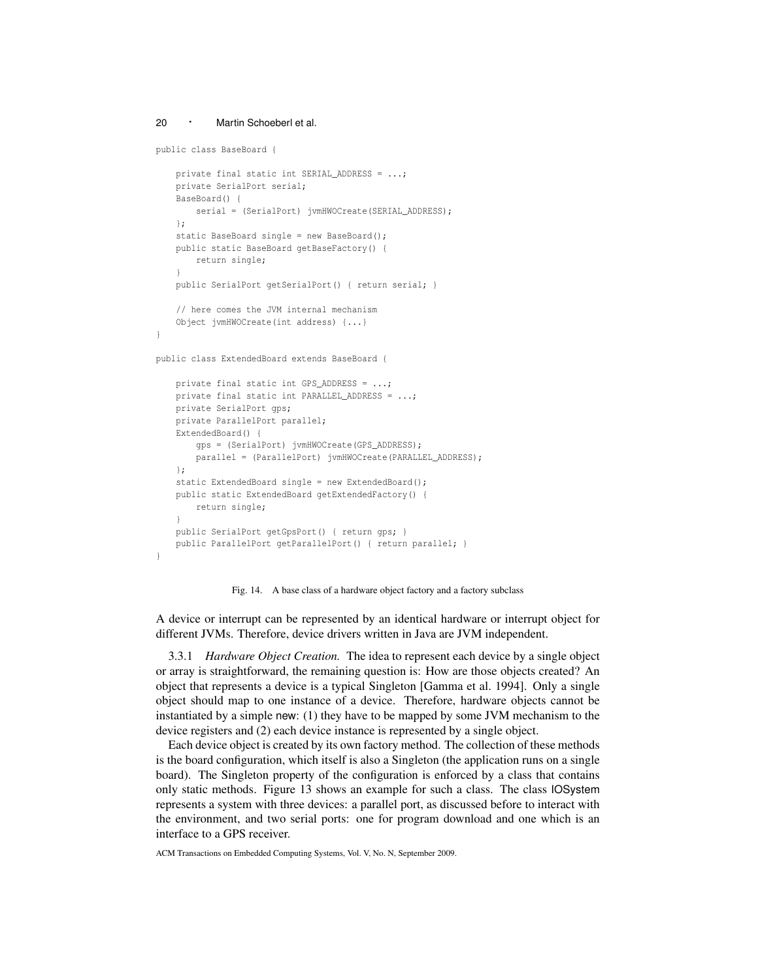```
public class BaseBoard {
    private final static int SERIAL_ADDRESS = ...;
   private SerialPort serial;
    BaseBoard() {
       serial = (SerialPort) jvmHWOCreate(SERIAL_ADDRESS);
    };
    static BaseBoard single = new BaseBoard();
    public static BaseBoard getBaseFactory() {
        return single;
    }
    public SerialPort getSerialPort() { return serial; }
    // here comes the JVM internal mechanism
    Object jvmHWOCreate(int address) {...}
}
public class ExtendedBoard extends BaseBoard {
   private final static int GPS ADDRESS = ...;
   private final static int PARALLEL_ADDRESS = ...;
   private SerialPort gps;
   private ParallelPort parallel;
   ExtendedBoard() {
        gps = (SerialPort) jvmHWOCreate(GPS_ADDRESS);
        parallel = (ParallelPort) jvmHWOCreate(PARALLEL_ADDRESS);
    };
    static ExtendedBoard single = new ExtendedBoard();
    public static ExtendedBoard getExtendedFactory() {
       return single;
    }
    public SerialPort getGpsPort() { return gps; }
    public ParallelPort getParallelPort() { return parallel; }
}
```
Fig. 14. A base class of a hardware object factory and a factory subclass

A device or interrupt can be represented by an identical hardware or interrupt object for different JVMs. Therefore, device drivers written in Java are JVM independent.

3.3.1 *Hardware Object Creation.* The idea to represent each device by a single object or array is straightforward, the remaining question is: How are those objects created? An object that represents a device is a typical Singleton [Gamma et al. 1994]. Only a single object should map to one instance of a device. Therefore, hardware objects cannot be instantiated by a simple new: (1) they have to be mapped by some JVM mechanism to the device registers and (2) each device instance is represented by a single object.

Each device object is created by its own factory method. The collection of these methods is the board configuration, which itself is also a Singleton (the application runs on a single board). The Singleton property of the configuration is enforced by a class that contains only static methods. Figure 13 shows an example for such a class. The class IOSystem represents a system with three devices: a parallel port, as discussed before to interact with the environment, and two serial ports: one for program download and one which is an interface to a GPS receiver.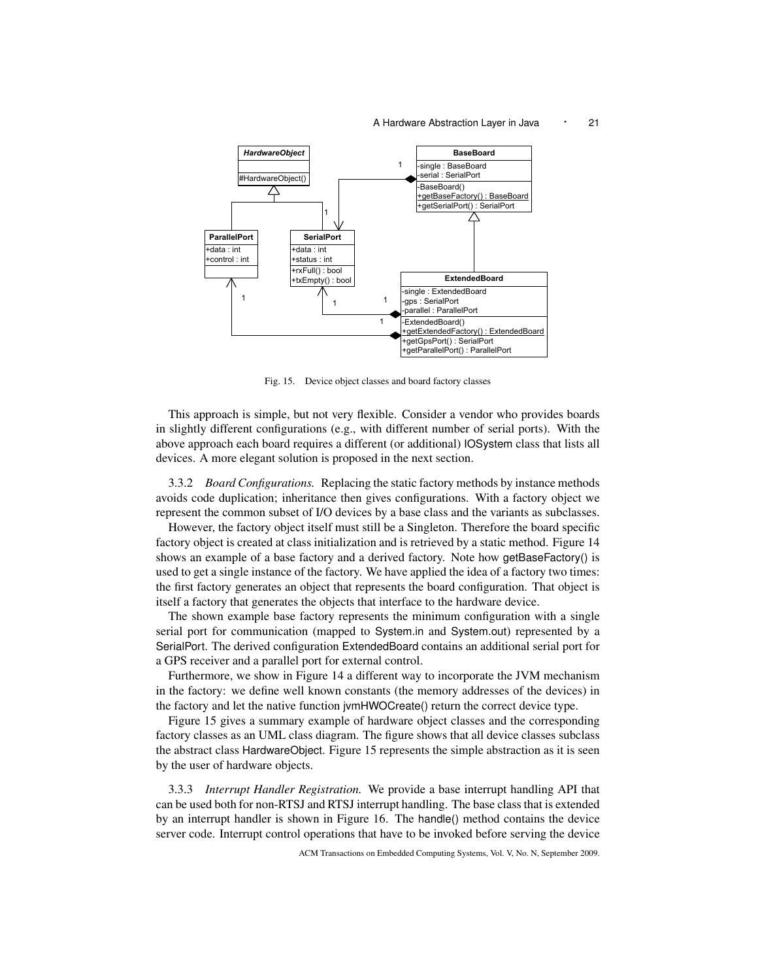#### A Hardware Abstraction Layer in Java • 21



Fig. 15. Device object classes and board factory classes

This approach is simple, but not very flexible. Consider a vendor who provides boards in slightly different configurations (e.g., with different number of serial ports). With the above approach each board requires a different (or additional) IOSystem class that lists all devices. A more elegant solution is proposed in the next section.

3.3.2 *Board Configurations.* Replacing the static factory methods by instance methods avoids code duplication; inheritance then gives configurations. With a factory object we represent the common subset of I/O devices by a base class and the variants as subclasses.

However, the factory object itself must still be a Singleton. Therefore the board specific factory object is created at class initialization and is retrieved by a static method. Figure 14 shows an example of a base factory and a derived factory. Note how getBaseFactory() is used to get a single instance of the factory. We have applied the idea of a factory two times: the first factory generates an object that represents the board configuration. That object is itself a factory that generates the objects that interface to the hardware device.

The shown example base factory represents the minimum configuration with a single serial port for communication (mapped to System.in and System.out) represented by a SerialPort. The derived configuration ExtendedBoard contains an additional serial port for a GPS receiver and a parallel port for external control.

Furthermore, we show in Figure 14 a different way to incorporate the JVM mechanism in the factory: we define well known constants (the memory addresses of the devices) in the factory and let the native function jvmHWOCreate() return the correct device type.

Figure 15 gives a summary example of hardware object classes and the corresponding factory classes as an UML class diagram. The figure shows that all device classes subclass the abstract class HardwareObject. Figure 15 represents the simple abstraction as it is seen by the user of hardware objects.

3.3.3 *Interrupt Handler Registration.* We provide a base interrupt handling API that can be used both for non-RTSJ and RTSJ interrupt handling. The base class that is extended by an interrupt handler is shown in Figure 16. The handle() method contains the device server code. Interrupt control operations that have to be invoked before serving the device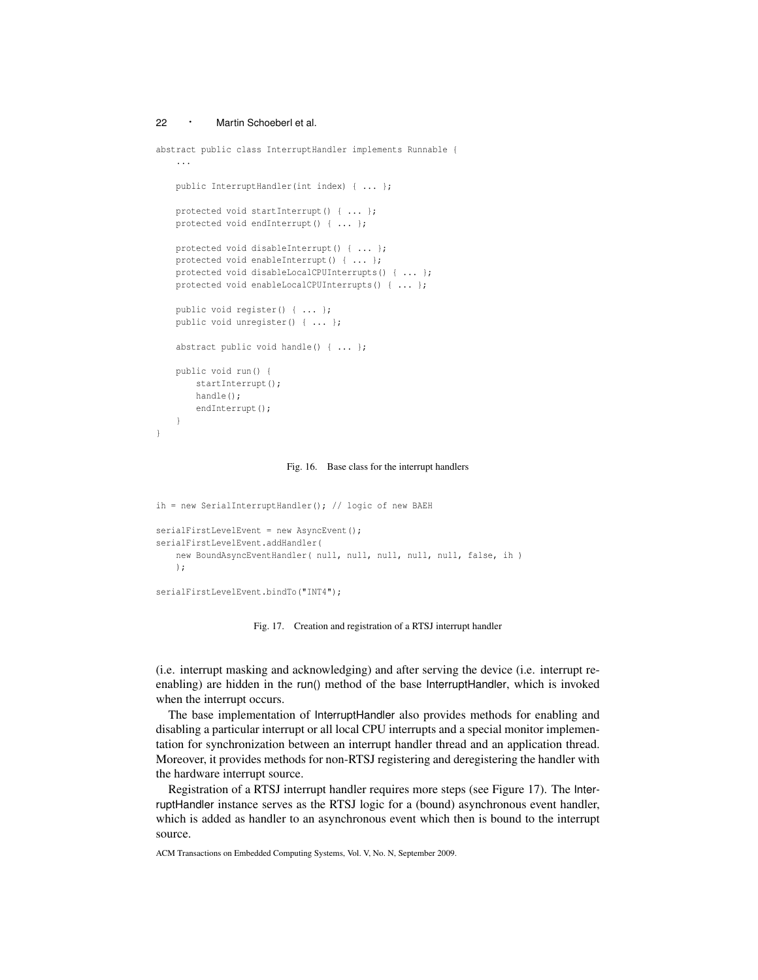}

```
abstract public class InterruptHandler implements Runnable {
   ...
   public InterruptHandler(int index) { ... };
   protected void startInterrupt() { ... };
   protected void endInterrupt() { ... };
   protected void disableInterrupt() { ... };
   protected void enableInterrupt() { ... };
   protected void disableLocalCPUInterrupts() { ... };
   protected void enableLocalCPUInterrupts() { ... };
   public void register() { ... };
   public void unregister() { ... };
   abstract public void handle() { ... };
   public void run() {
       startInterrupt();
       handle();
       endInterrupt();
   }
```
#### Fig. 16. Base class for the interrupt handlers

```
ih = new SerialInterruptHandler(); // logic of new BAEH
serialFirstLevelEvent = new AsyncEvent ();
serialFirstLevelEvent.addHandler(
    new BoundAsyncEventHandler( null, null, null, null, null, false, ih )
    );
serialFirstLevelEvent.bindTo("INT4");
```
Fig. 17. Creation and registration of a RTSJ interrupt handler

(i.e. interrupt masking and acknowledging) and after serving the device (i.e. interrupt reenabling) are hidden in the run() method of the base InterruptHandler, which is invoked when the interrupt occurs.

The base implementation of InterruptHandler also provides methods for enabling and disabling a particular interrupt or all local CPU interrupts and a special monitor implementation for synchronization between an interrupt handler thread and an application thread. Moreover, it provides methods for non-RTSJ registering and deregistering the handler with the hardware interrupt source.

Registration of a RTSJ interrupt handler requires more steps (see Figure 17). The InterruptHandler instance serves as the RTSJ logic for a (bound) asynchronous event handler, which is added as handler to an asynchronous event which then is bound to the interrupt source.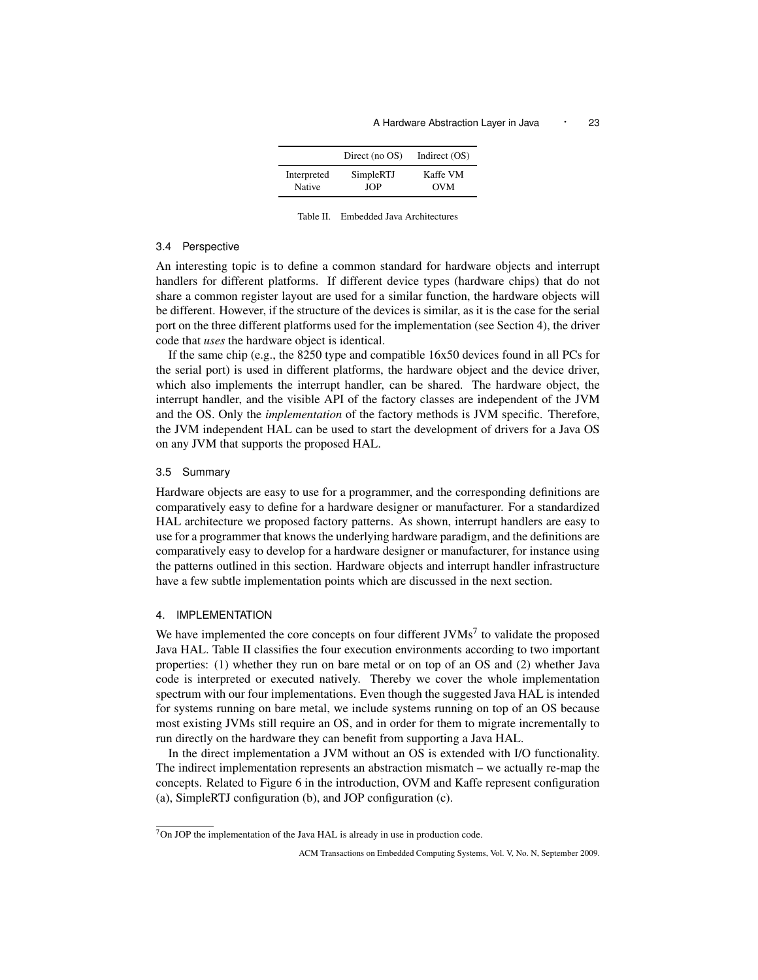|               | Direct (no $OS$ ) | Indirect (OS) |
|---------------|-------------------|---------------|
| Interpreted   | SimpleRTJ         | Kaffe VM      |
| <b>Native</b> | IOP               | <b>OVM</b>    |

Table II. Embedded Java Architectures

## 3.4 Perspective

An interesting topic is to define a common standard for hardware objects and interrupt handlers for different platforms. If different device types (hardware chips) that do not share a common register layout are used for a similar function, the hardware objects will be different. However, if the structure of the devices is similar, as it is the case for the serial port on the three different platforms used for the implementation (see Section 4), the driver code that *uses* the hardware object is identical.

If the same chip (e.g., the 8250 type and compatible 16x50 devices found in all PCs for the serial port) is used in different platforms, the hardware object and the device driver, which also implements the interrupt handler, can be shared. The hardware object, the interrupt handler, and the visible API of the factory classes are independent of the JVM and the OS. Only the *implementation* of the factory methods is JVM specific. Therefore, the JVM independent HAL can be used to start the development of drivers for a Java OS on any JVM that supports the proposed HAL.

#### 3.5 Summary

Hardware objects are easy to use for a programmer, and the corresponding definitions are comparatively easy to define for a hardware designer or manufacturer. For a standardized HAL architecture we proposed factory patterns. As shown, interrupt handlers are easy to use for a programmer that knows the underlying hardware paradigm, and the definitions are comparatively easy to develop for a hardware designer or manufacturer, for instance using the patterns outlined in this section. Hardware objects and interrupt handler infrastructure have a few subtle implementation points which are discussed in the next section.

## 4. IMPLEMENTATION

We have implemented the core concepts on four different  $JVMs<sup>7</sup>$  to validate the proposed Java HAL. Table II classifies the four execution environments according to two important properties: (1) whether they run on bare metal or on top of an OS and (2) whether Java code is interpreted or executed natively. Thereby we cover the whole implementation spectrum with our four implementations. Even though the suggested Java HAL is intended for systems running on bare metal, we include systems running on top of an OS because most existing JVMs still require an OS, and in order for them to migrate incrementally to run directly on the hardware they can benefit from supporting a Java HAL.

In the direct implementation a JVM without an OS is extended with I/O functionality. The indirect implementation represents an abstraction mismatch – we actually re-map the concepts. Related to Figure 6 in the introduction, OVM and Kaffe represent configuration (a), SimpleRTJ configuration (b), and JOP configuration (c).

 $7$ On JOP the implementation of the Java HAL is already in use in production code.

ACM Transactions on Embedded Computing Systems, Vol. V, No. N, September 2009.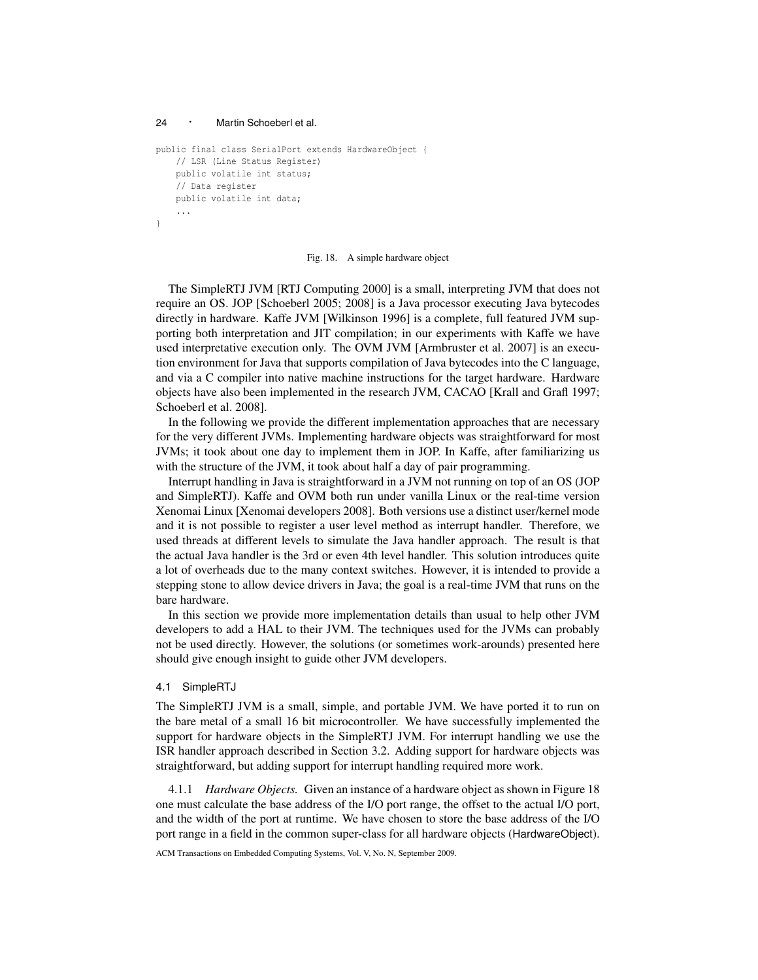```
public final class SerialPort extends HardwareObject {
   // LSR (Line Status Register)
   public volatile int status;
   // Data register
   public volatile int data;
    ...
}
```
#### Fig. 18. A simple hardware object

The SimpleRTJ JVM [RTJ Computing 2000] is a small, interpreting JVM that does not require an OS. JOP [Schoeberl 2005; 2008] is a Java processor executing Java bytecodes directly in hardware. Kaffe JVM [Wilkinson 1996] is a complete, full featured JVM supporting both interpretation and JIT compilation; in our experiments with Kaffe we have used interpretative execution only. The OVM JVM [Armbruster et al. 2007] is an execution environment for Java that supports compilation of Java bytecodes into the C language, and via a C compiler into native machine instructions for the target hardware. Hardware objects have also been implemented in the research JVM, CACAO [Krall and Grafl 1997; Schoeberl et al. 2008].

In the following we provide the different implementation approaches that are necessary for the very different JVMs. Implementing hardware objects was straightforward for most JVMs; it took about one day to implement them in JOP. In Kaffe, after familiarizing us with the structure of the JVM, it took about half a day of pair programming.

Interrupt handling in Java is straightforward in a JVM not running on top of an OS (JOP and SimpleRTJ). Kaffe and OVM both run under vanilla Linux or the real-time version Xenomai Linux [Xenomai developers 2008]. Both versions use a distinct user/kernel mode and it is not possible to register a user level method as interrupt handler. Therefore, we used threads at different levels to simulate the Java handler approach. The result is that the actual Java handler is the 3rd or even 4th level handler. This solution introduces quite a lot of overheads due to the many context switches. However, it is intended to provide a stepping stone to allow device drivers in Java; the goal is a real-time JVM that runs on the bare hardware.

In this section we provide more implementation details than usual to help other JVM developers to add a HAL to their JVM. The techniques used for the JVMs can probably not be used directly. However, the solutions (or sometimes work-arounds) presented here should give enough insight to guide other JVM developers.

## 4.1 SimpleRTJ

The SimpleRTJ JVM is a small, simple, and portable JVM. We have ported it to run on the bare metal of a small 16 bit microcontroller. We have successfully implemented the support for hardware objects in the SimpleRTJ JVM. For interrupt handling we use the ISR handler approach described in Section 3.2. Adding support for hardware objects was straightforward, but adding support for interrupt handling required more work.

4.1.1 *Hardware Objects.* Given an instance of a hardware object as shown in Figure 18 one must calculate the base address of the I/O port range, the offset to the actual I/O port, and the width of the port at runtime. We have chosen to store the base address of the I/O port range in a field in the common super-class for all hardware objects (HardwareObject).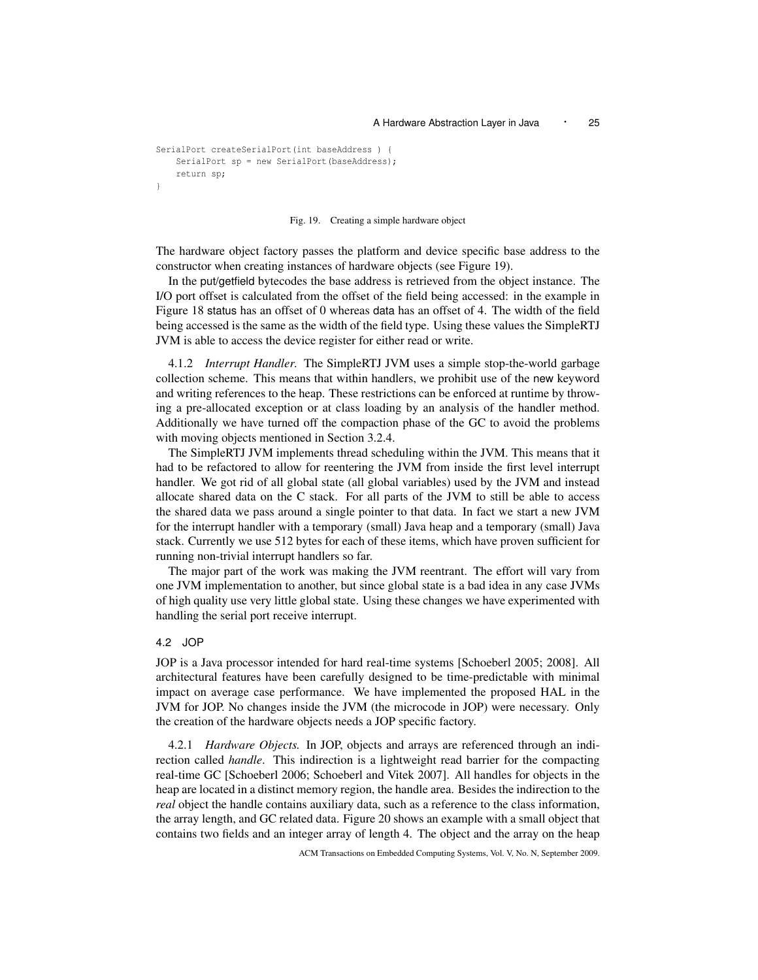```
SerialPort createSerialPort(int baseAddress ) {
   SerialPort sp = new SerialPort(baseAddress);
   return sp;
}
```
Fig. 19. Creating a simple hardware object

The hardware object factory passes the platform and device specific base address to the constructor when creating instances of hardware objects (see Figure 19).

In the put/getfield bytecodes the base address is retrieved from the object instance. The I/O port offset is calculated from the offset of the field being accessed: in the example in Figure 18 status has an offset of 0 whereas data has an offset of 4. The width of the field being accessed is the same as the width of the field type. Using these values the SimpleRTJ JVM is able to access the device register for either read or write.

4.1.2 *Interrupt Handler.* The SimpleRTJ JVM uses a simple stop-the-world garbage collection scheme. This means that within handlers, we prohibit use of the new keyword and writing references to the heap. These restrictions can be enforced at runtime by throwing a pre-allocated exception or at class loading by an analysis of the handler method. Additionally we have turned off the compaction phase of the GC to avoid the problems with moving objects mentioned in Section 3.2.4.

The SimpleRTJ JVM implements thread scheduling within the JVM. This means that it had to be refactored to allow for reentering the JVM from inside the first level interrupt handler. We got rid of all global state (all global variables) used by the JVM and instead allocate shared data on the C stack. For all parts of the JVM to still be able to access the shared data we pass around a single pointer to that data. In fact we start a new JVM for the interrupt handler with a temporary (small) Java heap and a temporary (small) Java stack. Currently we use 512 bytes for each of these items, which have proven sufficient for running non-trivial interrupt handlers so far.

The major part of the work was making the JVM reentrant. The effort will vary from one JVM implementation to another, but since global state is a bad idea in any case JVMs of high quality use very little global state. Using these changes we have experimented with handling the serial port receive interrupt.

## 4.2 JOP

JOP is a Java processor intended for hard real-time systems [Schoeberl 2005; 2008]. All architectural features have been carefully designed to be time-predictable with minimal impact on average case performance. We have implemented the proposed HAL in the JVM for JOP. No changes inside the JVM (the microcode in JOP) were necessary. Only the creation of the hardware objects needs a JOP specific factory.

4.2.1 *Hardware Objects.* In JOP, objects and arrays are referenced through an indirection called *handle*. This indirection is a lightweight read barrier for the compacting real-time GC [Schoeberl 2006; Schoeberl and Vitek 2007]. All handles for objects in the heap are located in a distinct memory region, the handle area. Besides the indirection to the *real* object the handle contains auxiliary data, such as a reference to the class information, the array length, and GC related data. Figure 20 shows an example with a small object that contains two fields and an integer array of length 4. The object and the array on the heap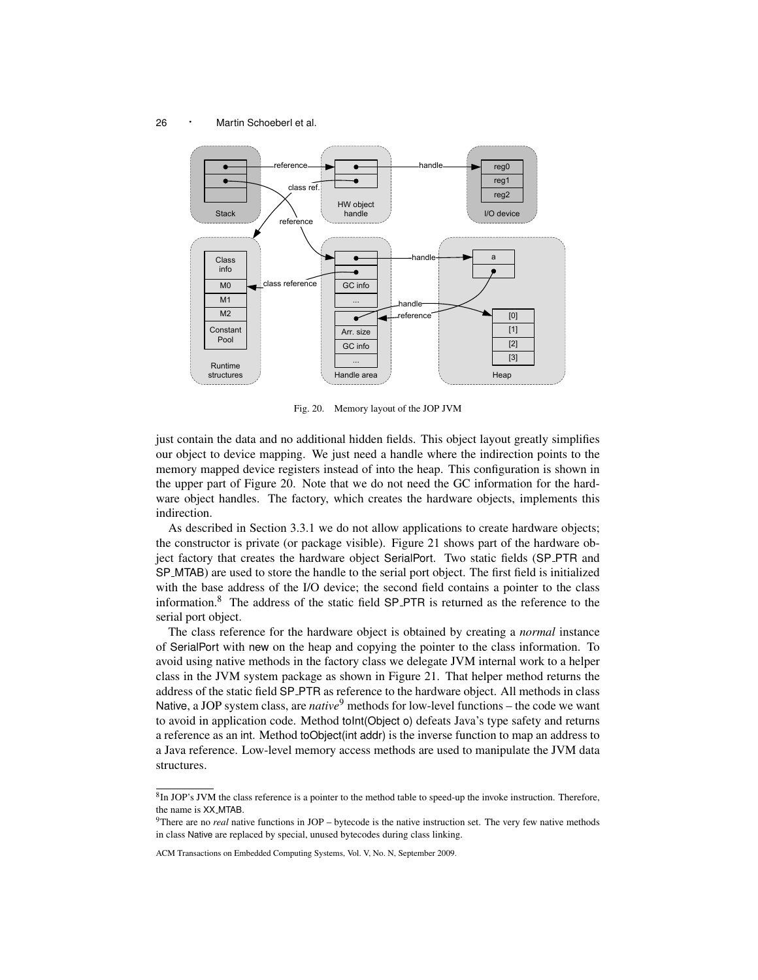

Fig. 20. Memory layout of the JOP JVM

just contain the data and no additional hidden fields. This object layout greatly simplifies our object to device mapping. We just need a handle where the indirection points to the memory mapped device registers instead of into the heap. This configuration is shown in the upper part of Figure 20. Note that we do not need the GC information for the hardware object handles. The factory, which creates the hardware objects, implements this indirection.

As described in Section 3.3.1 we do not allow applications to create hardware objects; the constructor is private (or package visible). Figure 21 shows part of the hardware object factory that creates the hardware object SerialPort. Two static fields (SP PTR and SP MTAB) are used to store the handle to the serial port object. The first field is initialized with the base address of the I/O device; the second field contains a pointer to the class information.<sup>8</sup> The address of the static field SP PTR is returned as the reference to the serial port object.

The class reference for the hardware object is obtained by creating a *normal* instance of SerialPort with new on the heap and copying the pointer to the class information. To avoid using native methods in the factory class we delegate JVM internal work to a helper class in the JVM system package as shown in Figure 21. That helper method returns the address of the static field SP PTR as reference to the hardware object. All methods in class Native, a JOP system class, are *native*<sup>9</sup> methods for low-level functions – the code we want to avoid in application code. Method toInt(Object o) defeats Java's type safety and returns a reference as an int. Method toObject(int addr) is the inverse function to map an address to a Java reference. Low-level memory access methods are used to manipulate the JVM data structures.

<sup>&</sup>lt;sup>8</sup>In JOP's JVM the class reference is a pointer to the method table to speed-up the invoke instruction. Therefore, the name is XX\_MTAB.

<sup>&</sup>lt;sup>9</sup>There are no *real* native functions in JOP – bytecode is the native instruction set. The very few native methods in class Native are replaced by special, unused bytecodes during class linking.

ACM Transactions on Embedded Computing Systems, Vol. V, No. N, September 2009.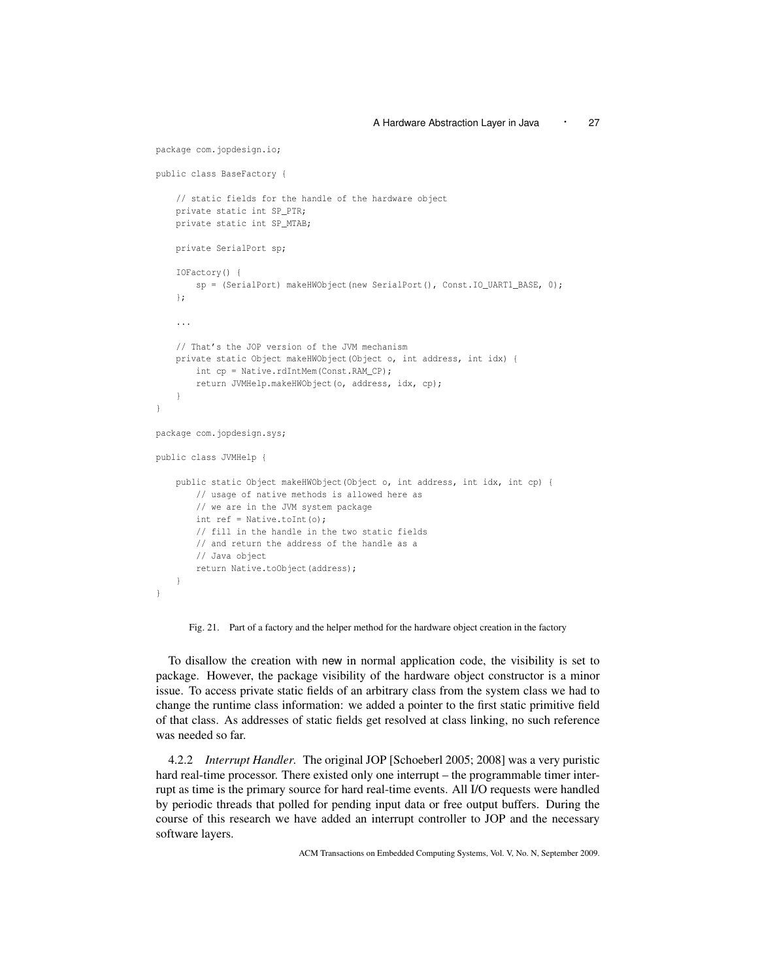```
package com.jopdesign.io;
public class BaseFactory {
    // static fields for the handle of the hardware object
   private static int SP_PTR;
    private static int SP_MTAB;
    private SerialPort sp;
    IOFactory() {
        sp = (SerialPort) makeHWObject(new SerialPort(), Const.IO_UART1_BASE, 0);
    };
    ...
    // That's the JOP version of the JVM mechanism
    private static Object makeHWObject(Object o, int address, int idx) {
       int cp = Native.rdIntMem(Const.RAM_CP);
        return JVMHelp.makeHWObject(o, address, idx, cp);
    }
}
package com.jopdesign.sys;
public class JVMHelp {
    public static Object makeHWObject(Object o, int address, int idx, int cp) {
       // usage of native methods is allowed here as
        // we are in the JVM system package
        int ref = Native.toInt(o);
        // fill in the handle in the two static fields
        // and return the address of the handle as a
        // Java object
        return Native.toObject(address);
    }
}
```
Fig. 21. Part of a factory and the helper method for the hardware object creation in the factory

To disallow the creation with new in normal application code, the visibility is set to package. However, the package visibility of the hardware object constructor is a minor issue. To access private static fields of an arbitrary class from the system class we had to change the runtime class information: we added a pointer to the first static primitive field of that class. As addresses of static fields get resolved at class linking, no such reference was needed so far.

4.2.2 *Interrupt Handler.* The original JOP [Schoeberl 2005; 2008] was a very puristic hard real-time processor. There existed only one interrupt – the programmable timer interrupt as time is the primary source for hard real-time events. All I/O requests were handled by periodic threads that polled for pending input data or free output buffers. During the course of this research we have added an interrupt controller to JOP and the necessary software layers.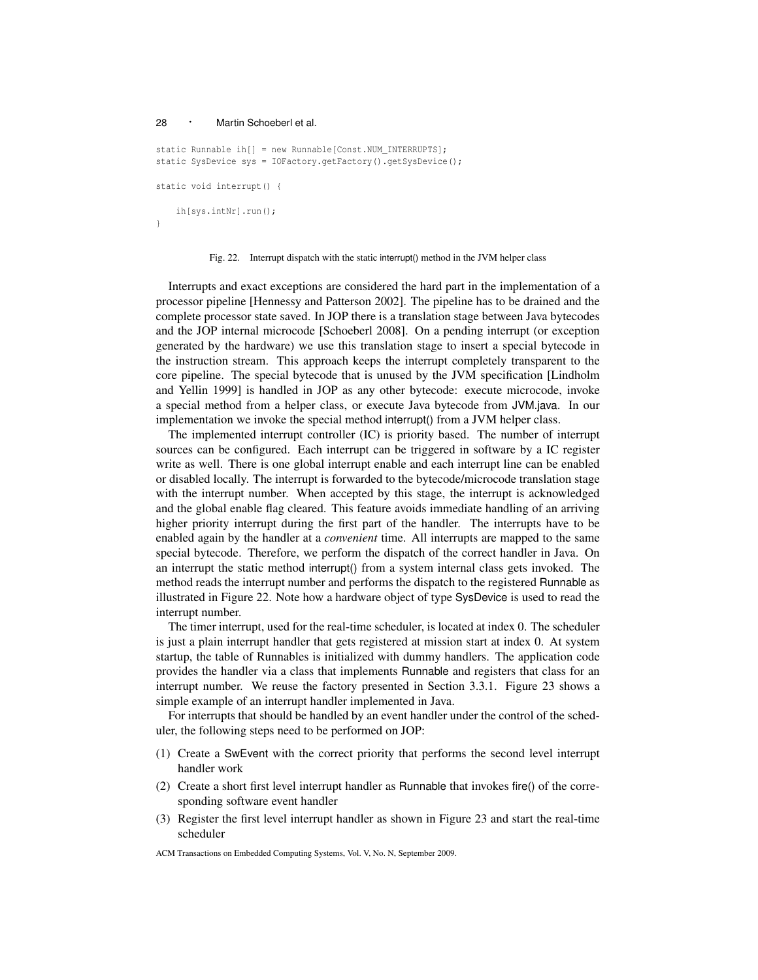```
static Runnable ih[] = new Runnable[Const.NUM_INTERRUPTS];
static SysDevice sys = IOFactory.getFactory().getSysDevice();
static void interrupt() {
   ih[sys.intNr].run();
}
```
#### Fig. 22. Interrupt dispatch with the static interrupt() method in the JVM helper class

Interrupts and exact exceptions are considered the hard part in the implementation of a processor pipeline [Hennessy and Patterson 2002]. The pipeline has to be drained and the complete processor state saved. In JOP there is a translation stage between Java bytecodes and the JOP internal microcode [Schoeberl 2008]. On a pending interrupt (or exception generated by the hardware) we use this translation stage to insert a special bytecode in the instruction stream. This approach keeps the interrupt completely transparent to the core pipeline. The special bytecode that is unused by the JVM specification [Lindholm and Yellin 1999] is handled in JOP as any other bytecode: execute microcode, invoke a special method from a helper class, or execute Java bytecode from JVM.java. In our implementation we invoke the special method interrupt() from a JVM helper class.

The implemented interrupt controller (IC) is priority based. The number of interrupt sources can be configured. Each interrupt can be triggered in software by a IC register write as well. There is one global interrupt enable and each interrupt line can be enabled or disabled locally. The interrupt is forwarded to the bytecode/microcode translation stage with the interrupt number. When accepted by this stage, the interrupt is acknowledged and the global enable flag cleared. This feature avoids immediate handling of an arriving higher priority interrupt during the first part of the handler. The interrupts have to be enabled again by the handler at a *convenient* time. All interrupts are mapped to the same special bytecode. Therefore, we perform the dispatch of the correct handler in Java. On an interrupt the static method interrupt() from a system internal class gets invoked. The method reads the interrupt number and performs the dispatch to the registered Runnable as illustrated in Figure 22. Note how a hardware object of type SysDevice is used to read the interrupt number.

The timer interrupt, used for the real-time scheduler, is located at index 0. The scheduler is just a plain interrupt handler that gets registered at mission start at index 0. At system startup, the table of Runnables is initialized with dummy handlers. The application code provides the handler via a class that implements Runnable and registers that class for an interrupt number. We reuse the factory presented in Section 3.3.1. Figure 23 shows a simple example of an interrupt handler implemented in Java.

For interrupts that should be handled by an event handler under the control of the scheduler, the following steps need to be performed on JOP:

- (1) Create a SwEvent with the correct priority that performs the second level interrupt handler work
- (2) Create a short first level interrupt handler as Runnable that invokes fire() of the corresponding software event handler
- (3) Register the first level interrupt handler as shown in Figure 23 and start the real-time scheduler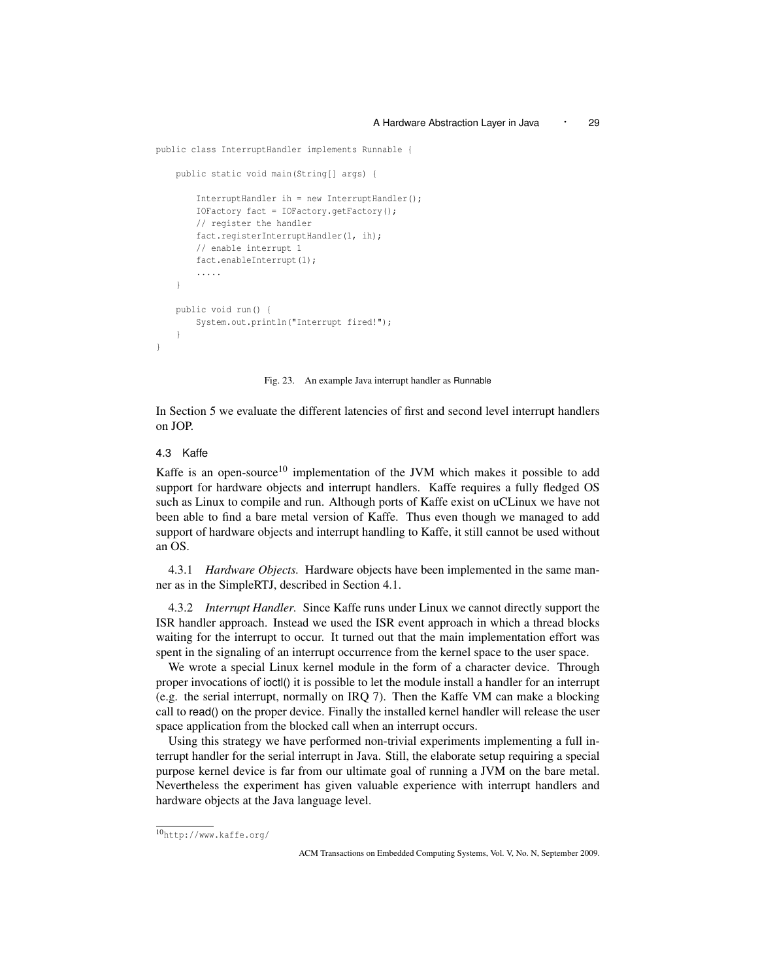public class InterruptHandler implements Runnable {

```
public static void main(String[] args) {
    InterruptHandler ih = new InterruptHandler();
   IOFactory fact = IOFactory.getFactory();
    // register the handler
    fact.registerInterruptHandler(1, ih);
    // enable interrupt 1
    fact.enableInterrupt(1);
    .....
}
public void run() {
   System.out.println("Interrupt fired!");
}
```
Fig. 23. An example Java interrupt handler as Runnable

In Section 5 we evaluate the different latencies of first and second level interrupt handlers on JOP.

# 4.3 Kaffe

}

Kaffe is an open-source<sup>10</sup> implementation of the JVM which makes it possible to add support for hardware objects and interrupt handlers. Kaffe requires a fully fledged OS such as Linux to compile and run. Although ports of Kaffe exist on uCLinux we have not been able to find a bare metal version of Kaffe. Thus even though we managed to add support of hardware objects and interrupt handling to Kaffe, it still cannot be used without an OS.

4.3.1 *Hardware Objects.* Hardware objects have been implemented in the same manner as in the SimpleRTJ, described in Section 4.1.

4.3.2 *Interrupt Handler.* Since Kaffe runs under Linux we cannot directly support the ISR handler approach. Instead we used the ISR event approach in which a thread blocks waiting for the interrupt to occur. It turned out that the main implementation effort was spent in the signaling of an interrupt occurrence from the kernel space to the user space.

We wrote a special Linux kernel module in the form of a character device. Through proper invocations of ioctl() it is possible to let the module install a handler for an interrupt (e.g. the serial interrupt, normally on IRQ 7). Then the Kaffe VM can make a blocking call to read() on the proper device. Finally the installed kernel handler will release the user space application from the blocked call when an interrupt occurs.

Using this strategy we have performed non-trivial experiments implementing a full interrupt handler for the serial interrupt in Java. Still, the elaborate setup requiring a special purpose kernel device is far from our ultimate goal of running a JVM on the bare metal. Nevertheless the experiment has given valuable experience with interrupt handlers and hardware objects at the Java language level.

<sup>10</sup>http://www.kaffe.org/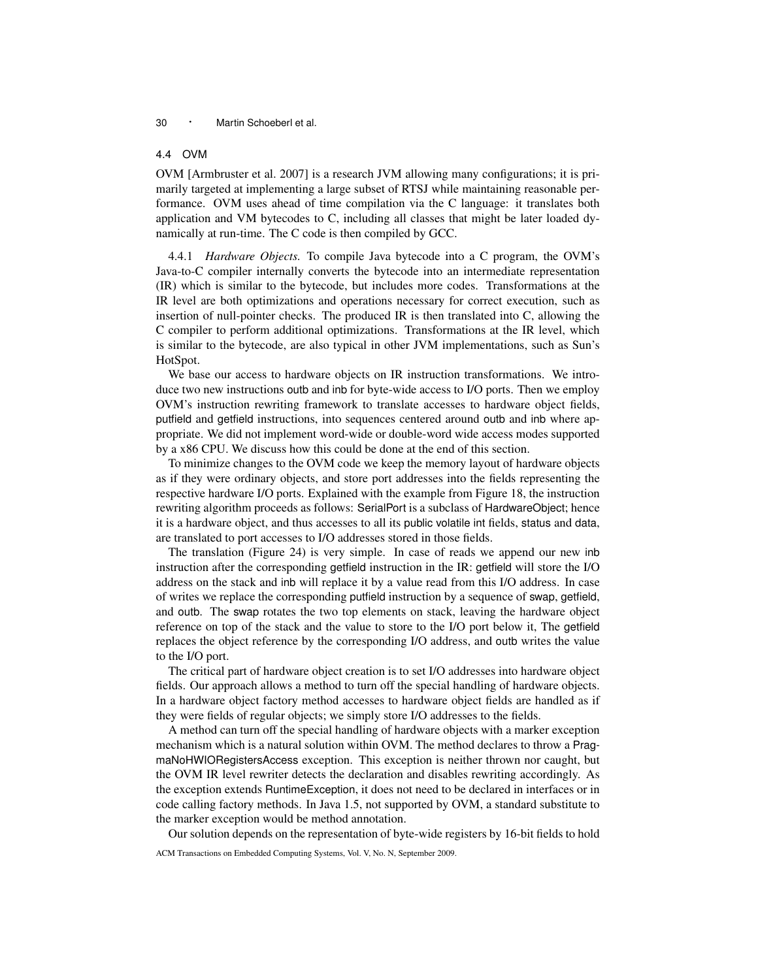#### 4.4 OVM

OVM [Armbruster et al. 2007] is a research JVM allowing many configurations; it is primarily targeted at implementing a large subset of RTSJ while maintaining reasonable performance. OVM uses ahead of time compilation via the C language: it translates both application and VM bytecodes to C, including all classes that might be later loaded dynamically at run-time. The C code is then compiled by GCC.

4.4.1 *Hardware Objects.* To compile Java bytecode into a C program, the OVM's Java-to-C compiler internally converts the bytecode into an intermediate representation (IR) which is similar to the bytecode, but includes more codes. Transformations at the IR level are both optimizations and operations necessary for correct execution, such as insertion of null-pointer checks. The produced IR is then translated into C, allowing the C compiler to perform additional optimizations. Transformations at the IR level, which is similar to the bytecode, are also typical in other JVM implementations, such as Sun's HotSpot.

We base our access to hardware objects on IR instruction transformations. We introduce two new instructions outb and inb for byte-wide access to I/O ports. Then we employ OVM's instruction rewriting framework to translate accesses to hardware object fields, putfield and getfield instructions, into sequences centered around outb and inb where appropriate. We did not implement word-wide or double-word wide access modes supported by a x86 CPU. We discuss how this could be done at the end of this section.

To minimize changes to the OVM code we keep the memory layout of hardware objects as if they were ordinary objects, and store port addresses into the fields representing the respective hardware I/O ports. Explained with the example from Figure 18, the instruction rewriting algorithm proceeds as follows: SerialPort is a subclass of HardwareObject; hence it is a hardware object, and thus accesses to all its public volatile int fields, status and data, are translated to port accesses to I/O addresses stored in those fields.

The translation (Figure 24) is very simple. In case of reads we append our new inb instruction after the corresponding getfield instruction in the IR: getfield will store the I/O address on the stack and inb will replace it by a value read from this I/O address. In case of writes we replace the corresponding putfield instruction by a sequence of swap, getfield, and outb. The swap rotates the two top elements on stack, leaving the hardware object reference on top of the stack and the value to store to the I/O port below it, The getfield replaces the object reference by the corresponding I/O address, and outb writes the value to the I/O port.

The critical part of hardware object creation is to set I/O addresses into hardware object fields. Our approach allows a method to turn off the special handling of hardware objects. In a hardware object factory method accesses to hardware object fields are handled as if they were fields of regular objects; we simply store I/O addresses to the fields.

A method can turn off the special handling of hardware objects with a marker exception mechanism which is a natural solution within OVM. The method declares to throw a PragmaNoHWIORegistersAccess exception. This exception is neither thrown nor caught, but the OVM IR level rewriter detects the declaration and disables rewriting accordingly. As the exception extends RuntimeException, it does not need to be declared in interfaces or in code calling factory methods. In Java 1.5, not supported by OVM, a standard substitute to the marker exception would be method annotation.

Our solution depends on the representation of byte-wide registers by 16-bit fields to hold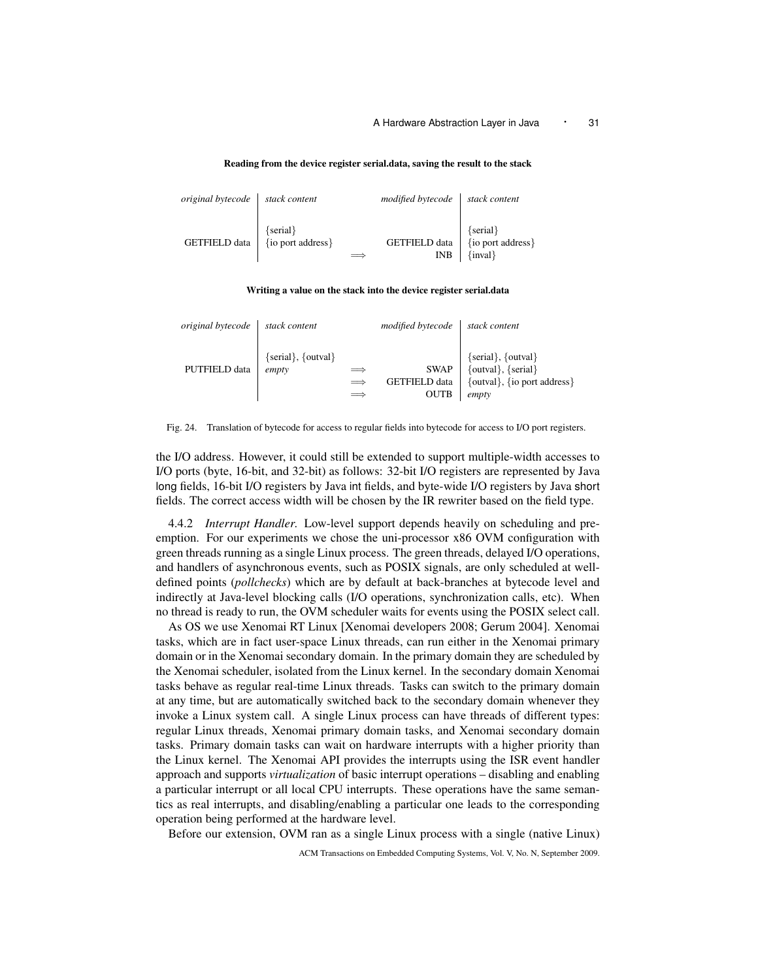### Reading from the device register serial.data, saving the result to the stack



Writing a value on the stack into the device register serial.data



Fig. 24. Translation of bytecode for access to regular fields into bytecode for access to I/O port registers.

the I/O address. However, it could still be extended to support multiple-width accesses to I/O ports (byte, 16-bit, and 32-bit) as follows: 32-bit I/O registers are represented by Java long fields, 16-bit I/O registers by Java int fields, and byte-wide I/O registers by Java short fields. The correct access width will be chosen by the IR rewriter based on the field type.

4.4.2 *Interrupt Handler.* Low-level support depends heavily on scheduling and preemption. For our experiments we chose the uni-processor x86 OVM configuration with green threads running as a single Linux process. The green threads, delayed I/O operations, and handlers of asynchronous events, such as POSIX signals, are only scheduled at welldefined points (*pollchecks*) which are by default at back-branches at bytecode level and indirectly at Java-level blocking calls (I/O operations, synchronization calls, etc). When no thread is ready to run, the OVM scheduler waits for events using the POSIX select call.

As OS we use Xenomai RT Linux [Xenomai developers 2008; Gerum 2004]. Xenomai tasks, which are in fact user-space Linux threads, can run either in the Xenomai primary domain or in the Xenomai secondary domain. In the primary domain they are scheduled by the Xenomai scheduler, isolated from the Linux kernel. In the secondary domain Xenomai tasks behave as regular real-time Linux threads. Tasks can switch to the primary domain at any time, but are automatically switched back to the secondary domain whenever they invoke a Linux system call. A single Linux process can have threads of different types: regular Linux threads, Xenomai primary domain tasks, and Xenomai secondary domain tasks. Primary domain tasks can wait on hardware interrupts with a higher priority than the Linux kernel. The Xenomai API provides the interrupts using the ISR event handler approach and supports *virtualization* of basic interrupt operations – disabling and enabling a particular interrupt or all local CPU interrupts. These operations have the same semantics as real interrupts, and disabling/enabling a particular one leads to the corresponding operation being performed at the hardware level.

Before our extension, OVM ran as a single Linux process with a single (native Linux)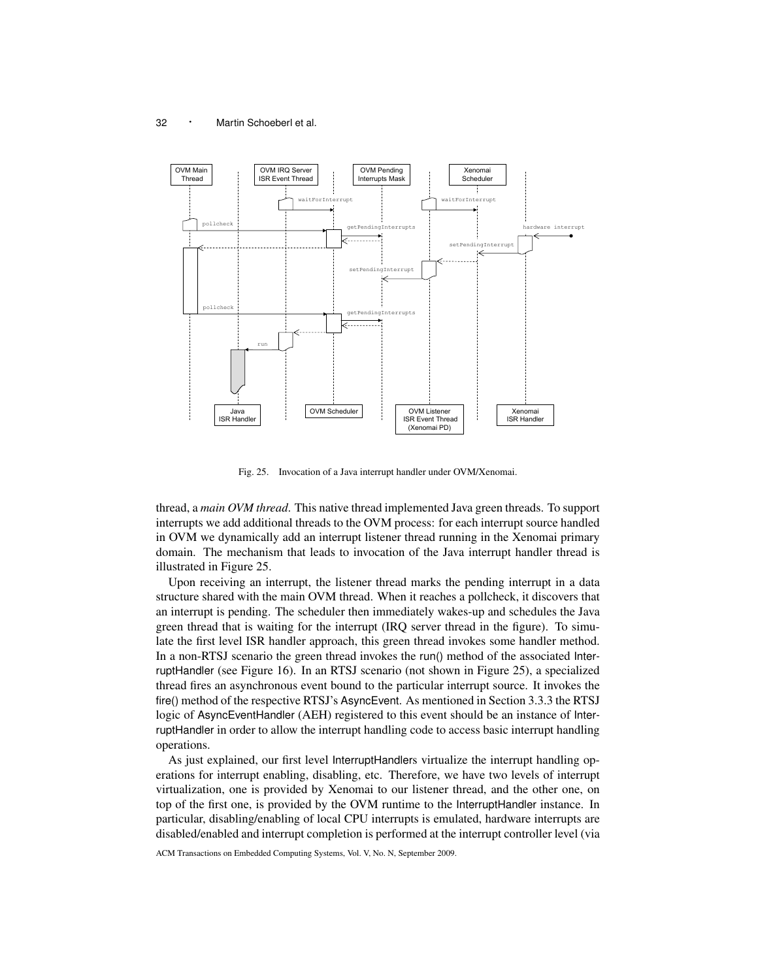

Fig. 25. Invocation of a Java interrupt handler under OVM/Xenomai.

thread, a *main OVM thread*. This native thread implemented Java green threads. To support interrupts we add additional threads to the OVM process: for each interrupt source handled in OVM we dynamically add an interrupt listener thread running in the Xenomai primary domain. The mechanism that leads to invocation of the Java interrupt handler thread is illustrated in Figure 25.

Upon receiving an interrupt, the listener thread marks the pending interrupt in a data structure shared with the main OVM thread. When it reaches a pollcheck, it discovers that an interrupt is pending. The scheduler then immediately wakes-up and schedules the Java green thread that is waiting for the interrupt (IRQ server thread in the figure). To simulate the first level ISR handler approach, this green thread invokes some handler method. In a non-RTSJ scenario the green thread invokes the run() method of the associated InterruptHandler (see Figure 16). In an RTSJ scenario (not shown in Figure 25), a specialized thread fires an asynchronous event bound to the particular interrupt source. It invokes the fire() method of the respective RTSJ's AsyncEvent. As mentioned in Section 3.3.3 the RTSJ logic of AsyncEventHandler (AEH) registered to this event should be an instance of InterruptHandler in order to allow the interrupt handling code to access basic interrupt handling operations.

As just explained, our first level InterruptHandlers virtualize the interrupt handling operations for interrupt enabling, disabling, etc. Therefore, we have two levels of interrupt virtualization, one is provided by Xenomai to our listener thread, and the other one, on top of the first one, is provided by the OVM runtime to the InterruptHandler instance. In particular, disabling/enabling of local CPU interrupts is emulated, hardware interrupts are disabled/enabled and interrupt completion is performed at the interrupt controller level (via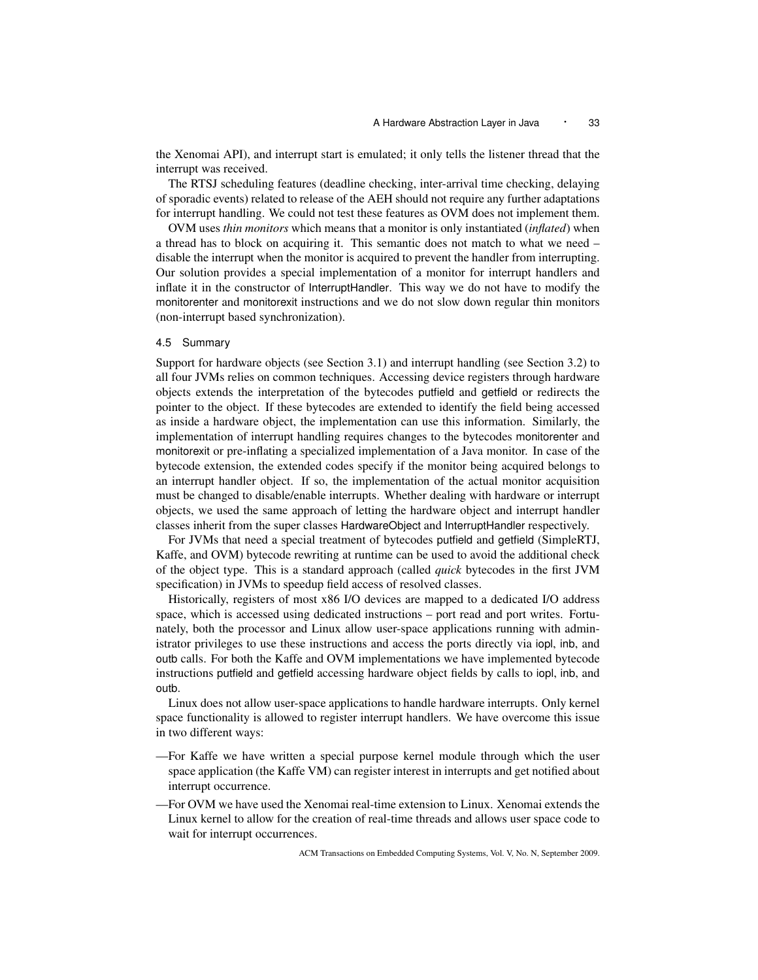the Xenomai API), and interrupt start is emulated; it only tells the listener thread that the interrupt was received.

The RTSJ scheduling features (deadline checking, inter-arrival time checking, delaying of sporadic events) related to release of the AEH should not require any further adaptations for interrupt handling. We could not test these features as OVM does not implement them.

OVM uses *thin monitors* which means that a monitor is only instantiated (*inflated*) when a thread has to block on acquiring it. This semantic does not match to what we need – disable the interrupt when the monitor is acquired to prevent the handler from interrupting. Our solution provides a special implementation of a monitor for interrupt handlers and inflate it in the constructor of InterruptHandler. This way we do not have to modify the monitorenter and monitorexit instructions and we do not slow down regular thin monitors (non-interrupt based synchronization).

#### 4.5 Summary

Support for hardware objects (see Section 3.1) and interrupt handling (see Section 3.2) to all four JVMs relies on common techniques. Accessing device registers through hardware objects extends the interpretation of the bytecodes putfield and getfield or redirects the pointer to the object. If these bytecodes are extended to identify the field being accessed as inside a hardware object, the implementation can use this information. Similarly, the implementation of interrupt handling requires changes to the bytecodes monitorenter and monitorexit or pre-inflating a specialized implementation of a Java monitor. In case of the bytecode extension, the extended codes specify if the monitor being acquired belongs to an interrupt handler object. If so, the implementation of the actual monitor acquisition must be changed to disable/enable interrupts. Whether dealing with hardware or interrupt objects, we used the same approach of letting the hardware object and interrupt handler classes inherit from the super classes HardwareObject and InterruptHandler respectively.

For JVMs that need a special treatment of bytecodes putfield and getfield (SimpleRTJ, Kaffe, and OVM) bytecode rewriting at runtime can be used to avoid the additional check of the object type. This is a standard approach (called *quick* bytecodes in the first JVM specification) in JVMs to speedup field access of resolved classes.

Historically, registers of most x86 I/O devices are mapped to a dedicated I/O address space, which is accessed using dedicated instructions – port read and port writes. Fortunately, both the processor and Linux allow user-space applications running with administrator privileges to use these instructions and access the ports directly via iopl, inb, and outb calls. For both the Kaffe and OVM implementations we have implemented bytecode instructions putfield and getfield accessing hardware object fields by calls to iopl, inb, and outb.

Linux does not allow user-space applications to handle hardware interrupts. Only kernel space functionality is allowed to register interrupt handlers. We have overcome this issue in two different ways:

- —For Kaffe we have written a special purpose kernel module through which the user space application (the Kaffe VM) can register interest in interrupts and get notified about interrupt occurrence.
- —For OVM we have used the Xenomai real-time extension to Linux. Xenomai extends the Linux kernel to allow for the creation of real-time threads and allows user space code to wait for interrupt occurrences.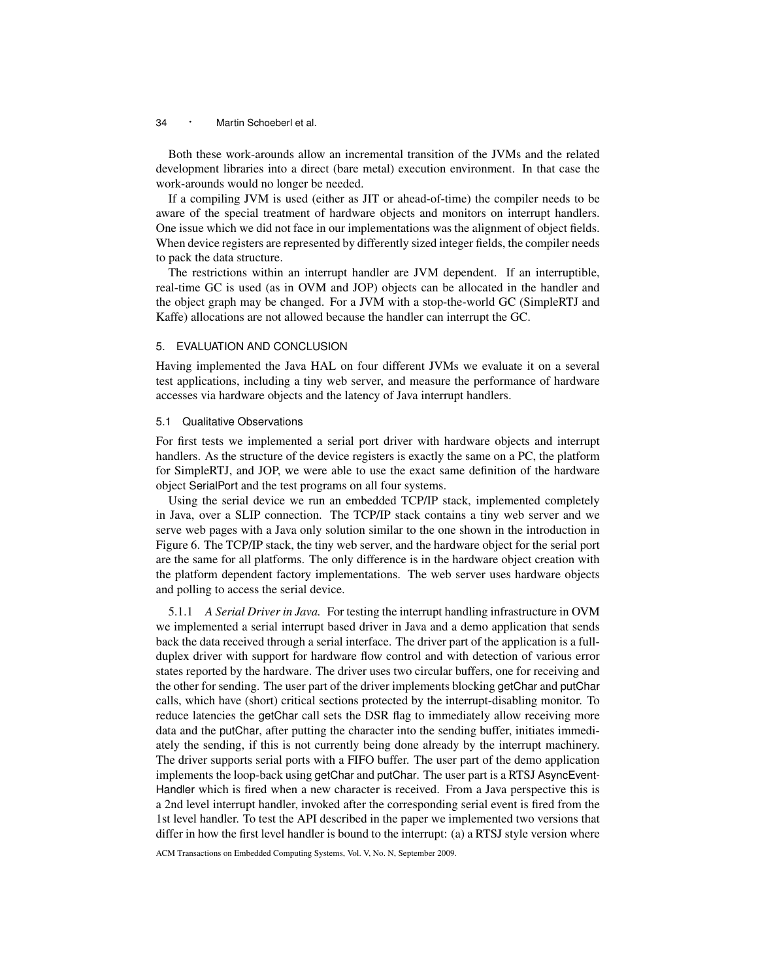Both these work-arounds allow an incremental transition of the JVMs and the related development libraries into a direct (bare metal) execution environment. In that case the work-arounds would no longer be needed.

If a compiling JVM is used (either as JIT or ahead-of-time) the compiler needs to be aware of the special treatment of hardware objects and monitors on interrupt handlers. One issue which we did not face in our implementations was the alignment of object fields. When device registers are represented by differently sized integer fields, the compiler needs to pack the data structure.

The restrictions within an interrupt handler are JVM dependent. If an interruptible, real-time GC is used (as in OVM and JOP) objects can be allocated in the handler and the object graph may be changed. For a JVM with a stop-the-world GC (SimpleRTJ and Kaffe) allocations are not allowed because the handler can interrupt the GC.

# 5. EVALUATION AND CONCLUSION

Having implemented the Java HAL on four different JVMs we evaluate it on a several test applications, including a tiny web server, and measure the performance of hardware accesses via hardware objects and the latency of Java interrupt handlers.

# 5.1 Qualitative Observations

For first tests we implemented a serial port driver with hardware objects and interrupt handlers. As the structure of the device registers is exactly the same on a PC, the platform for SimpleRTJ, and JOP, we were able to use the exact same definition of the hardware object SerialPort and the test programs on all four systems.

Using the serial device we run an embedded TCP/IP stack, implemented completely in Java, over a SLIP connection. The TCP/IP stack contains a tiny web server and we serve web pages with a Java only solution similar to the one shown in the introduction in Figure 6. The TCP/IP stack, the tiny web server, and the hardware object for the serial port are the same for all platforms. The only difference is in the hardware object creation with the platform dependent factory implementations. The web server uses hardware objects and polling to access the serial device.

5.1.1 *A Serial Driver in Java.* For testing the interrupt handling infrastructure in OVM we implemented a serial interrupt based driver in Java and a demo application that sends back the data received through a serial interface. The driver part of the application is a fullduplex driver with support for hardware flow control and with detection of various error states reported by the hardware. The driver uses two circular buffers, one for receiving and the other for sending. The user part of the driver implements blocking getChar and putChar calls, which have (short) critical sections protected by the interrupt-disabling monitor. To reduce latencies the getChar call sets the DSR flag to immediately allow receiving more data and the putChar, after putting the character into the sending buffer, initiates immediately the sending, if this is not currently being done already by the interrupt machinery. The driver supports serial ports with a FIFO buffer. The user part of the demo application implements the loop-back using getChar and putChar. The user part is a RTSJ AsyncEvent-Handler which is fired when a new character is received. From a Java perspective this is a 2nd level interrupt handler, invoked after the corresponding serial event is fired from the 1st level handler. To test the API described in the paper we implemented two versions that differ in how the first level handler is bound to the interrupt: (a) a RTSJ style version where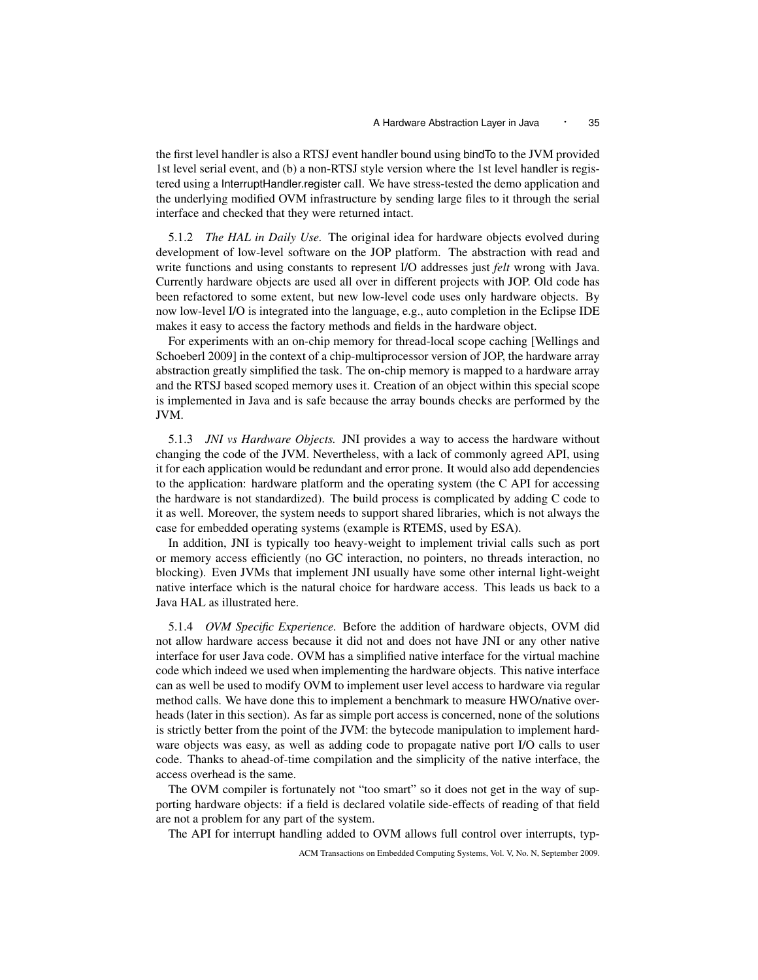the first level handler is also a RTSJ event handler bound using bindTo to the JVM provided 1st level serial event, and (b) a non-RTSJ style version where the 1st level handler is registered using a InterruptHandler.register call. We have stress-tested the demo application and the underlying modified OVM infrastructure by sending large files to it through the serial interface and checked that they were returned intact.

5.1.2 *The HAL in Daily Use.* The original idea for hardware objects evolved during development of low-level software on the JOP platform. The abstraction with read and write functions and using constants to represent I/O addresses just *felt* wrong with Java. Currently hardware objects are used all over in different projects with JOP. Old code has been refactored to some extent, but new low-level code uses only hardware objects. By now low-level I/O is integrated into the language, e.g., auto completion in the Eclipse IDE makes it easy to access the factory methods and fields in the hardware object.

For experiments with an on-chip memory for thread-local scope caching [Wellings and Schoeberl 2009] in the context of a chip-multiprocessor version of JOP, the hardware array abstraction greatly simplified the task. The on-chip memory is mapped to a hardware array and the RTSJ based scoped memory uses it. Creation of an object within this special scope is implemented in Java and is safe because the array bounds checks are performed by the JVM.

5.1.3 *JNI vs Hardware Objects.* JNI provides a way to access the hardware without changing the code of the JVM. Nevertheless, with a lack of commonly agreed API, using it for each application would be redundant and error prone. It would also add dependencies to the application: hardware platform and the operating system (the C API for accessing the hardware is not standardized). The build process is complicated by adding C code to it as well. Moreover, the system needs to support shared libraries, which is not always the case for embedded operating systems (example is RTEMS, used by ESA).

In addition, JNI is typically too heavy-weight to implement trivial calls such as port or memory access efficiently (no GC interaction, no pointers, no threads interaction, no blocking). Even JVMs that implement JNI usually have some other internal light-weight native interface which is the natural choice for hardware access. This leads us back to a Java HAL as illustrated here.

5.1.4 *OVM Specific Experience.* Before the addition of hardware objects, OVM did not allow hardware access because it did not and does not have JNI or any other native interface for user Java code. OVM has a simplified native interface for the virtual machine code which indeed we used when implementing the hardware objects. This native interface can as well be used to modify OVM to implement user level access to hardware via regular method calls. We have done this to implement a benchmark to measure HWO/native overheads (later in this section). As far as simple port access is concerned, none of the solutions is strictly better from the point of the JVM: the bytecode manipulation to implement hardware objects was easy, as well as adding code to propagate native port I/O calls to user code. Thanks to ahead-of-time compilation and the simplicity of the native interface, the access overhead is the same.

The OVM compiler is fortunately not "too smart" so it does not get in the way of supporting hardware objects: if a field is declared volatile side-effects of reading of that field are not a problem for any part of the system.

The API for interrupt handling added to OVM allows full control over interrupts, typ-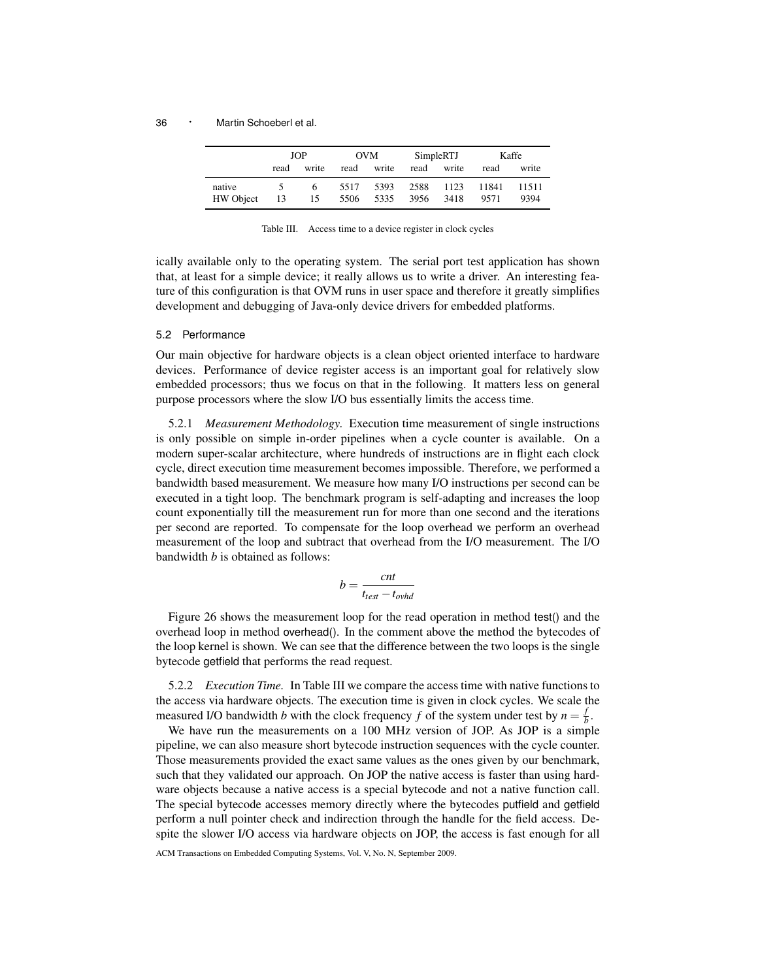|                  | <b>JOP</b> |       | OVM          |            | SimpleRTJ |            | Kaffe |       |
|------------------|------------|-------|--------------|------------|-----------|------------|-------|-------|
|                  | read       | write |              | read write |           | read write | read  | write |
| native           | -5.        | 6.    |              | 5517 5393  | 2588 1123 |            | 11841 | 11511 |
| <b>HW</b> Object | 13         |       | 15 5506 5335 |            | 3956 3418 |            | 9571  | 9394  |

Table III. Access time to a device register in clock cycles

ically available only to the operating system. The serial port test application has shown that, at least for a simple device; it really allows us to write a driver. An interesting feature of this configuration is that OVM runs in user space and therefore it greatly simplifies development and debugging of Java-only device drivers for embedded platforms.

## 5.2 Performance

Our main objective for hardware objects is a clean object oriented interface to hardware devices. Performance of device register access is an important goal for relatively slow embedded processors; thus we focus on that in the following. It matters less on general purpose processors where the slow I/O bus essentially limits the access time.

5.2.1 *Measurement Methodology.* Execution time measurement of single instructions is only possible on simple in-order pipelines when a cycle counter is available. On a modern super-scalar architecture, where hundreds of instructions are in flight each clock cycle, direct execution time measurement becomes impossible. Therefore, we performed a bandwidth based measurement. We measure how many I/O instructions per second can be executed in a tight loop. The benchmark program is self-adapting and increases the loop count exponentially till the measurement run for more than one second and the iterations per second are reported. To compensate for the loop overhead we perform an overhead measurement of the loop and subtract that overhead from the I/O measurement. The I/O bandwidth *b* is obtained as follows:

$$
b = \frac{cnt}{t_{test} - t_{ovhd}}
$$

Figure 26 shows the measurement loop for the read operation in method test() and the overhead loop in method overhead(). In the comment above the method the bytecodes of the loop kernel is shown. We can see that the difference between the two loops is the single bytecode getfield that performs the read request.

5.2.2 *Execution Time.* In Table III we compare the access time with native functions to the access via hardware objects. The execution time is given in clock cycles. We scale the measured I/O bandwidth *b* with the clock frequency *f* of the system under test by  $n = \frac{f}{h}$  $\frac{J}{b}$ .

We have run the measurements on a 100 MHz version of JOP. As JOP is a simple pipeline, we can also measure short bytecode instruction sequences with the cycle counter. Those measurements provided the exact same values as the ones given by our benchmark, such that they validated our approach. On JOP the native access is faster than using hardware objects because a native access is a special bytecode and not a native function call. The special bytecode accesses memory directly where the bytecodes putfield and getfield perform a null pointer check and indirection through the handle for the field access. Despite the slower I/O access via hardware objects on JOP, the access is fast enough for all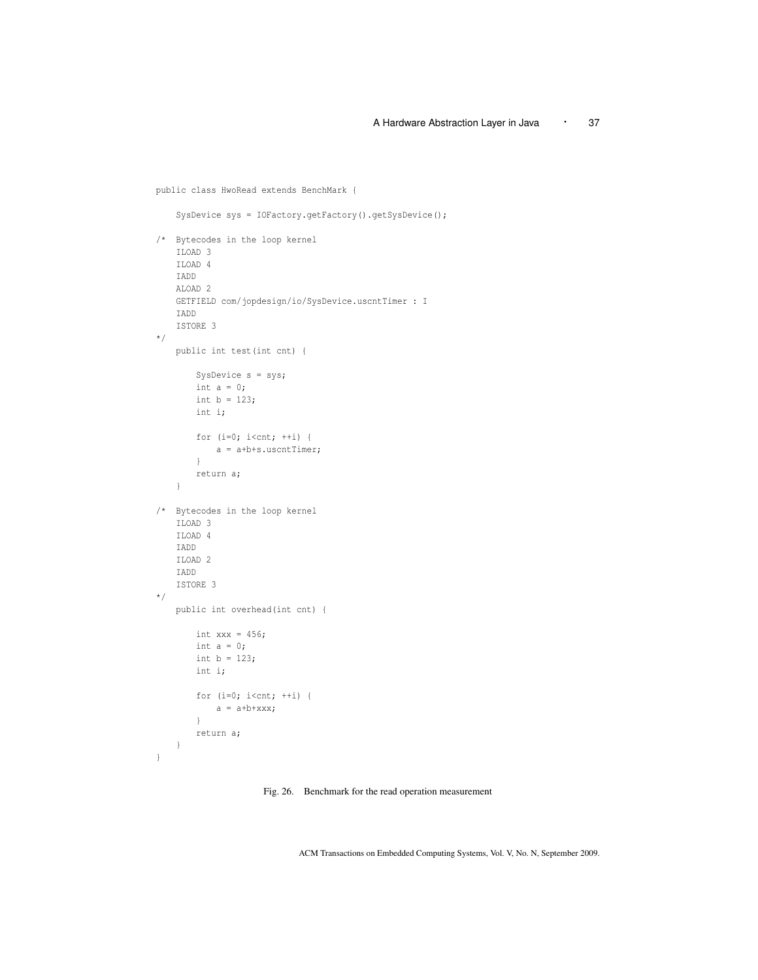```
public class HwoRead extends BenchMark {
    SysDevice sys = IOFactory.getFactory().getSysDevice();
/* Bytecodes in the loop kernel
   ILOAD 3
   ILOAD 4
   IADD
   ALOAD 2
   GETFIELD com/jopdesign/io/SysDevice.uscntTimer : I
   IADD
   ISTORE 3
*/
   public int test(int cnt) {
       SysDevice s = sys;
       int a = 0;int b = 123;
       int i;
       for (i=0; i<cnt; +i) {
           a = a+b+s.uscntTimer;
       }
       return a;
    }
/* Bytecodes in the loop kernel
    ILOAD 3
    ILOAD 4
   IADD
   ILOAD 2
   IADD
   ISTORE 3
*/
    public int overhead(int cnt) {
       int xxx = 456;
       int a = 0;int b = 123;
       int i;
       for (i=0; i<cnt; +i) {
           a = a+b+xxxx;}
       return a;
   }
}
```
Fig. 26. Benchmark for the read operation measurement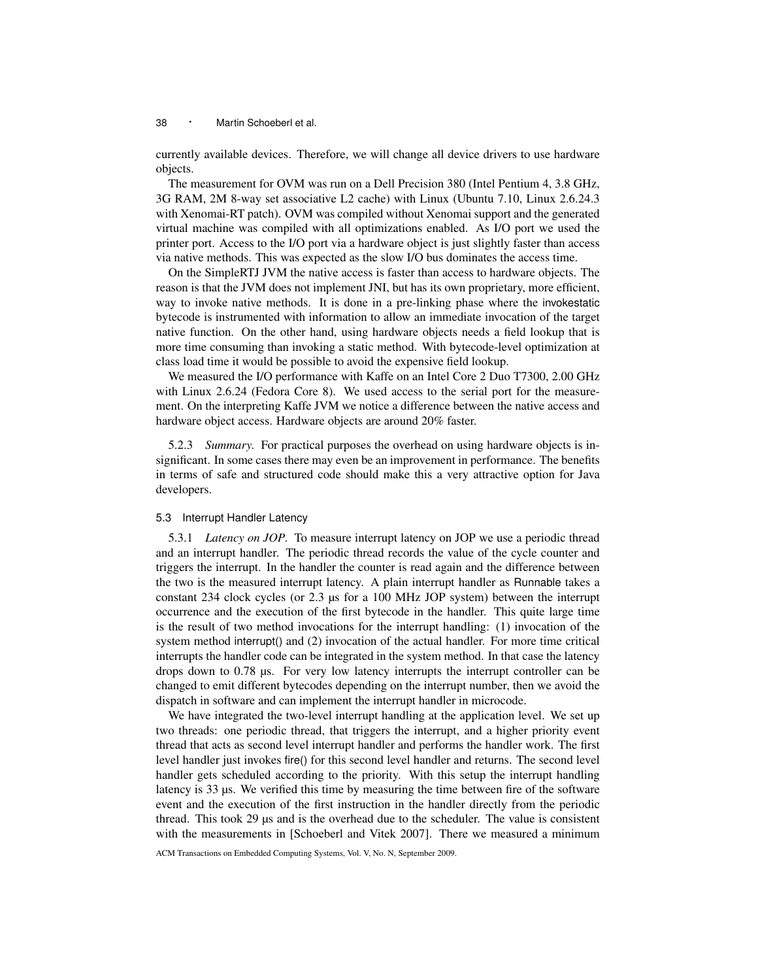currently available devices. Therefore, we will change all device drivers to use hardware objects.

The measurement for OVM was run on a Dell Precision 380 (Intel Pentium 4, 3.8 GHz, 3G RAM, 2M 8-way set associative L2 cache) with Linux (Ubuntu 7.10, Linux 2.6.24.3 with Xenomai-RT patch). OVM was compiled without Xenomai support and the generated virtual machine was compiled with all optimizations enabled. As I/O port we used the printer port. Access to the I/O port via a hardware object is just slightly faster than access via native methods. This was expected as the slow I/O bus dominates the access time.

On the SimpleRTJ JVM the native access is faster than access to hardware objects. The reason is that the JVM does not implement JNI, but has its own proprietary, more efficient, way to invoke native methods. It is done in a pre-linking phase where the invokestatic bytecode is instrumented with information to allow an immediate invocation of the target native function. On the other hand, using hardware objects needs a field lookup that is more time consuming than invoking a static method. With bytecode-level optimization at class load time it would be possible to avoid the expensive field lookup.

We measured the I/O performance with Kaffe on an Intel Core 2 Duo T7300, 2.00 GHz with Linux 2.6.24 (Fedora Core 8). We used access to the serial port for the measurement. On the interpreting Kaffe JVM we notice a difference between the native access and hardware object access. Hardware objects are around 20% faster.

5.2.3 *Summary.* For practical purposes the overhead on using hardware objects is insignificant. In some cases there may even be an improvement in performance. The benefits in terms of safe and structured code should make this a very attractive option for Java developers.

# 5.3 Interrupt Handler Latency

5.3.1 *Latency on JOP.* To measure interrupt latency on JOP we use a periodic thread and an interrupt handler. The periodic thread records the value of the cycle counter and triggers the interrupt. In the handler the counter is read again and the difference between the two is the measured interrupt latency. A plain interrupt handler as Runnable takes a constant 234 clock cycles (or 2.3 µs for a 100 MHz JOP system) between the interrupt occurrence and the execution of the first bytecode in the handler. This quite large time is the result of two method invocations for the interrupt handling: (1) invocation of the system method interrupt() and (2) invocation of the actual handler. For more time critical interrupts the handler code can be integrated in the system method. In that case the latency drops down to 0.78 µs. For very low latency interrupts the interrupt controller can be changed to emit different bytecodes depending on the interrupt number, then we avoid the dispatch in software and can implement the interrupt handler in microcode.

We have integrated the two-level interrupt handling at the application level. We set up two threads: one periodic thread, that triggers the interrupt, and a higher priority event thread that acts as second level interrupt handler and performs the handler work. The first level handler just invokes fire() for this second level handler and returns. The second level handler gets scheduled according to the priority. With this setup the interrupt handling latency is 33 µs. We verified this time by measuring the time between fire of the software event and the execution of the first instruction in the handler directly from the periodic thread. This took 29 µs and is the overhead due to the scheduler. The value is consistent with the measurements in [Schoeberl and Vitek 2007]. There we measured a minimum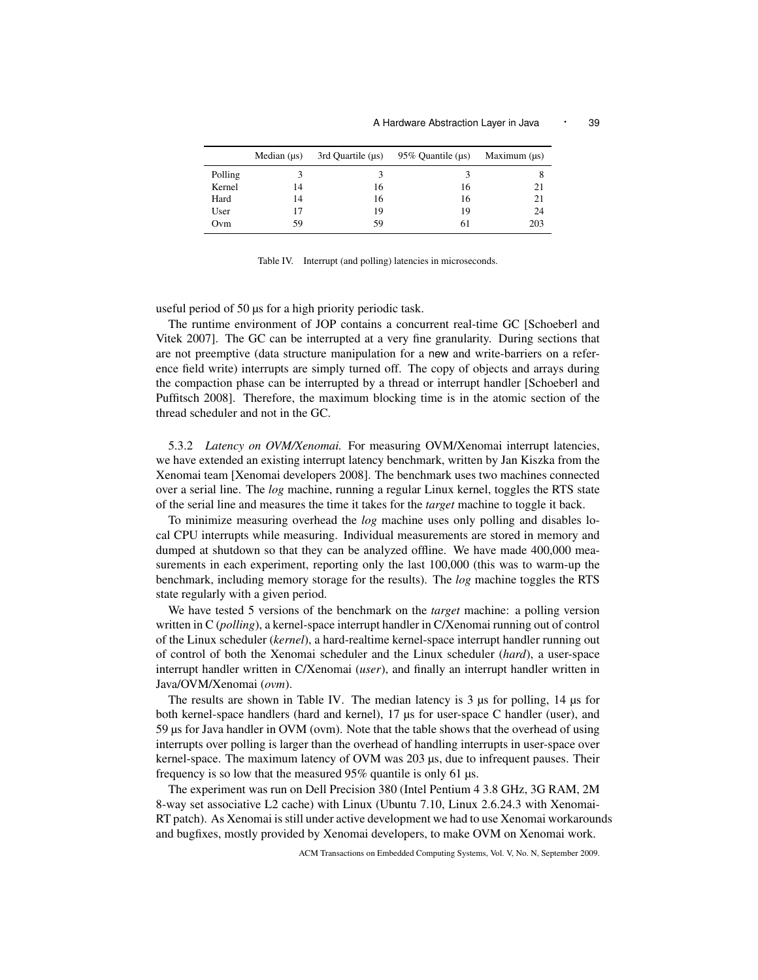|         | Median $(\mu s)$ | $3rd$ Quartile $(\mu s)$ | 95\% Quantile $(\mu s)$ | Maximum $(\mu s)$ |
|---------|------------------|--------------------------|-------------------------|-------------------|
| Polling |                  |                          |                         | 8                 |
| Kernel  | 14               | 16                       | 16                      | 21                |
| Hard    | 14               | 16                       | 16                      | 21                |
| User    | 17               | 19                       | 19                      | 24                |
| Ovm     | 59               | 59                       | 61                      | 203               |

Table IV. Interrupt (and polling) latencies in microseconds.

useful period of 50 µs for a high priority periodic task.

The runtime environment of JOP contains a concurrent real-time GC [Schoeberl and Vitek 2007]. The GC can be interrupted at a very fine granularity. During sections that are not preemptive (data structure manipulation for a new and write-barriers on a reference field write) interrupts are simply turned off. The copy of objects and arrays during the compaction phase can be interrupted by a thread or interrupt handler [Schoeberl and Puffitsch 2008]. Therefore, the maximum blocking time is in the atomic section of the thread scheduler and not in the GC.

5.3.2 *Latency on OVM/Xenomai.* For measuring OVM/Xenomai interrupt latencies, we have extended an existing interrupt latency benchmark, written by Jan Kiszka from the Xenomai team [Xenomai developers 2008]. The benchmark uses two machines connected over a serial line. The *log* machine, running a regular Linux kernel, toggles the RTS state of the serial line and measures the time it takes for the *target* machine to toggle it back.

To minimize measuring overhead the *log* machine uses only polling and disables local CPU interrupts while measuring. Individual measurements are stored in memory and dumped at shutdown so that they can be analyzed offline. We have made 400,000 measurements in each experiment, reporting only the last 100,000 (this was to warm-up the benchmark, including memory storage for the results). The *log* machine toggles the RTS state regularly with a given period.

We have tested 5 versions of the benchmark on the *target* machine: a polling version written in C (*polling*), a kernel-space interrupt handler in C/Xenomai running out of control of the Linux scheduler (*kernel*), a hard-realtime kernel-space interrupt handler running out of control of both the Xenomai scheduler and the Linux scheduler (*hard*), a user-space interrupt handler written in C/Xenomai (*user*), and finally an interrupt handler written in Java/OVM/Xenomai (*ovm*).

The results are shown in Table IV. The median latency is 3  $\mu$ s for polling, 14  $\mu$ s for both kernel-space handlers (hard and kernel), 17 µs for user-space C handler (user), and 59 µs for Java handler in OVM (ovm). Note that the table shows that the overhead of using interrupts over polling is larger than the overhead of handling interrupts in user-space over kernel-space. The maximum latency of OVM was 203 µs, due to infrequent pauses. Their frequency is so low that the measured 95% quantile is only 61 µs.

The experiment was run on Dell Precision 380 (Intel Pentium 4 3.8 GHz, 3G RAM, 2M 8-way set associative L2 cache) with Linux (Ubuntu 7.10, Linux 2.6.24.3 with Xenomai-RT patch). As Xenomai is still under active development we had to use Xenomai workarounds and bugfixes, mostly provided by Xenomai developers, to make OVM on Xenomai work.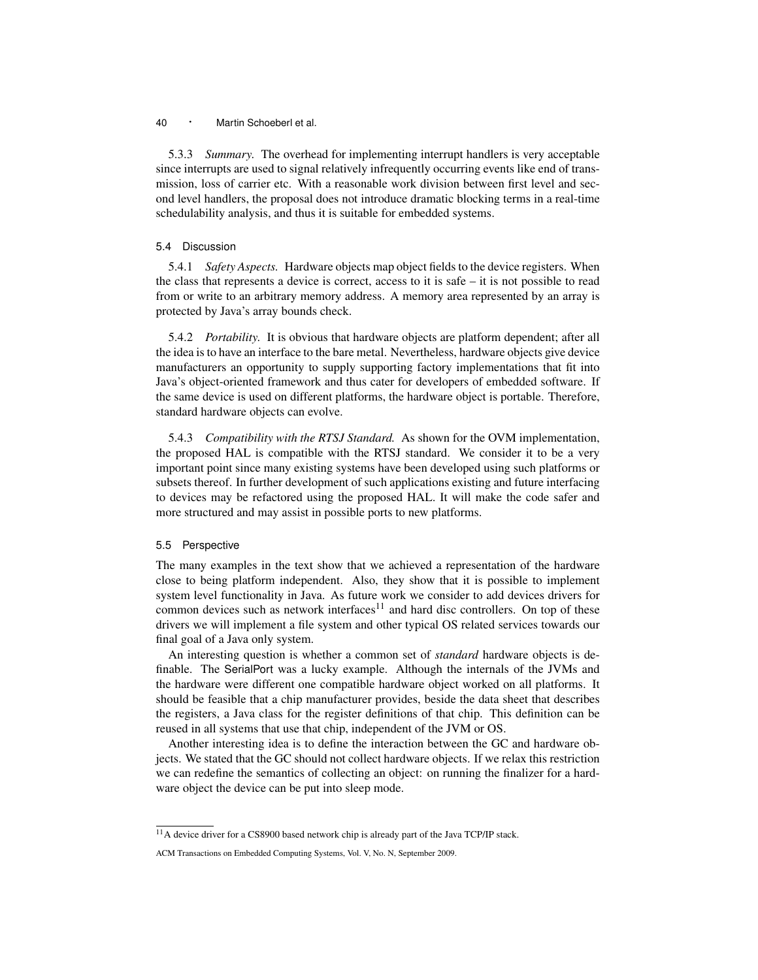5.3.3 *Summary.* The overhead for implementing interrupt handlers is very acceptable since interrupts are used to signal relatively infrequently occurring events like end of transmission, loss of carrier etc. With a reasonable work division between first level and second level handlers, the proposal does not introduce dramatic blocking terms in a real-time schedulability analysis, and thus it is suitable for embedded systems.

# 5.4 Discussion

5.4.1 *Safety Aspects.* Hardware objects map object fields to the device registers. When the class that represents a device is correct, access to it is safe  $-$  it is not possible to read from or write to an arbitrary memory address. A memory area represented by an array is protected by Java's array bounds check.

5.4.2 *Portability.* It is obvious that hardware objects are platform dependent; after all the idea is to have an interface to the bare metal. Nevertheless, hardware objects give device manufacturers an opportunity to supply supporting factory implementations that fit into Java's object-oriented framework and thus cater for developers of embedded software. If the same device is used on different platforms, the hardware object is portable. Therefore, standard hardware objects can evolve.

5.4.3 *Compatibility with the RTSJ Standard.* As shown for the OVM implementation, the proposed HAL is compatible with the RTSJ standard. We consider it to be a very important point since many existing systems have been developed using such platforms or subsets thereof. In further development of such applications existing and future interfacing to devices may be refactored using the proposed HAL. It will make the code safer and more structured and may assist in possible ports to new platforms.

# 5.5 Perspective

The many examples in the text show that we achieved a representation of the hardware close to being platform independent. Also, they show that it is possible to implement system level functionality in Java. As future work we consider to add devices drivers for common devices such as network interfaces $11$  and hard disc controllers. On top of these drivers we will implement a file system and other typical OS related services towards our final goal of a Java only system.

An interesting question is whether a common set of *standard* hardware objects is definable. The SerialPort was a lucky example. Although the internals of the JVMs and the hardware were different one compatible hardware object worked on all platforms. It should be feasible that a chip manufacturer provides, beside the data sheet that describes the registers, a Java class for the register definitions of that chip. This definition can be reused in all systems that use that chip, independent of the JVM or OS.

Another interesting idea is to define the interaction between the GC and hardware objects. We stated that the GC should not collect hardware objects. If we relax this restriction we can redefine the semantics of collecting an object: on running the finalizer for a hardware object the device can be put into sleep mode.

<sup>&</sup>lt;sup>11</sup>A device driver for a CS8900 based network chip is already part of the Java TCP/IP stack.

ACM Transactions on Embedded Computing Systems, Vol. V, No. N, September 2009.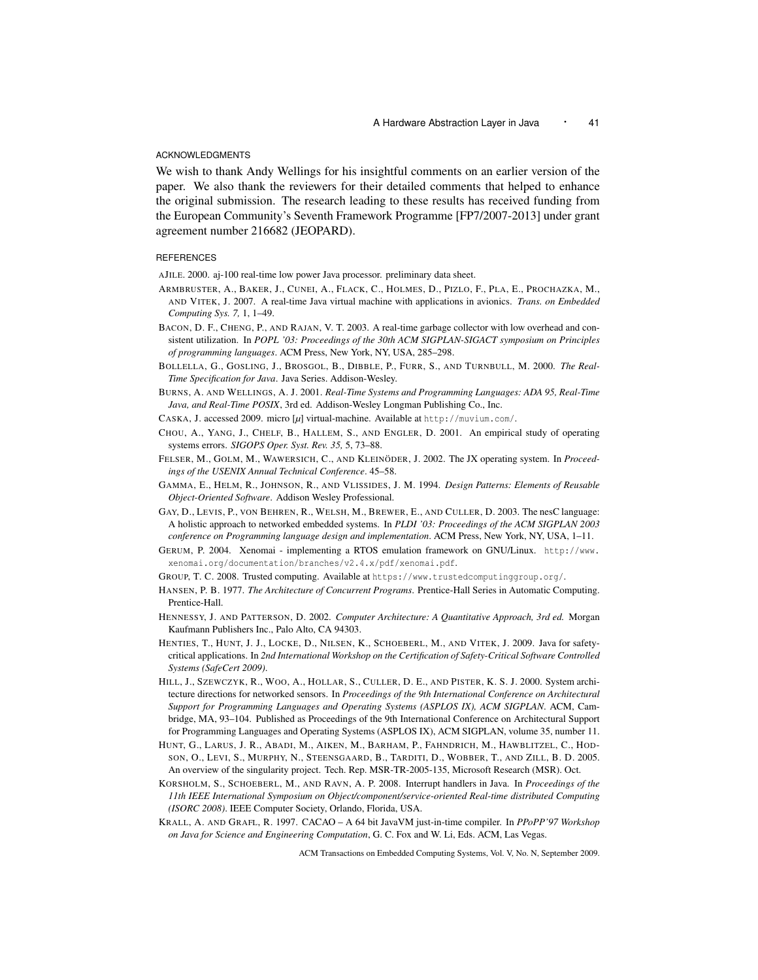## ACKNOWLEDGMENTS

We wish to thank Andy Wellings for his insightful comments on an earlier version of the paper. We also thank the reviewers for their detailed comments that helped to enhance the original submission. The research leading to these results has received funding from the European Community's Seventh Framework Programme [FP7/2007-2013] under grant agreement number 216682 (JEOPARD).

#### **REFERENCES**

AJILE. 2000. aj-100 real-time low power Java processor. preliminary data sheet.

- ARMBRUSTER, A., BAKER, J., CUNEI, A., FLACK, C., HOLMES, D., PIZLO, F., PLA, E., PROCHAZKA, M., AND VITEK, J. 2007. A real-time Java virtual machine with applications in avionics. *Trans. on Embedded Computing Sys. 7,* 1, 1–49.
- BACON, D. F., CHENG, P., AND RAJAN, V. T. 2003. A real-time garbage collector with low overhead and consistent utilization. In *POPL '03: Proceedings of the 30th ACM SIGPLAN-SIGACT symposium on Principles of programming languages*. ACM Press, New York, NY, USA, 285–298.
- BOLLELLA, G., GOSLING, J., BROSGOL, B., DIBBLE, P., FURR, S., AND TURNBULL, M. 2000. *The Real-Time Specification for Java*. Java Series. Addison-Wesley.
- BURNS, A. AND WELLINGS, A. J. 2001. *Real-Time Systems and Programming Languages: ADA 95, Real-Time Java, and Real-Time POSIX*, 3rd ed. Addison-Wesley Longman Publishing Co., Inc.
- CASKA, J. accessed 2009. micro [*µ*] virtual-machine. Available at http://muvium.com/.
- CHOU, A., YANG, J., CHELF, B., HALLEM, S., AND ENGLER, D. 2001. An empirical study of operating systems errors. *SIGOPS Oper. Syst. Rev. 35,* 5, 73–88.
- FELSER, M., GOLM, M., WAWERSICH, C., AND KLEINÖDER, J. 2002. The JX operating system. In *Proceedings of the USENIX Annual Technical Conference*. 45–58.
- GAMMA, E., HELM, R., JOHNSON, R., AND VLISSIDES, J. M. 1994. *Design Patterns: Elements of Reusable Object-Oriented Software*. Addison Wesley Professional.
- GAY, D., LEVIS, P., VON BEHREN, R., WELSH, M., BREWER, E., AND CULLER, D. 2003. The nesC language: A holistic approach to networked embedded systems. In *PLDI '03: Proceedings of the ACM SIGPLAN 2003 conference on Programming language design and implementation*. ACM Press, New York, NY, USA, 1–11.
- GERUM, P. 2004. Xenomai implementing a RTOS emulation framework on GNU/Linux. http://www. xenomai.org/documentation/branches/v2.4.x/pdf/xenomai.pdf.
- GROUP, T. C. 2008. Trusted computing. Available at https://www.trustedcomputinggroup.org/.
- HANSEN, P. B. 1977. *The Architecture of Concurrent Programs*. Prentice-Hall Series in Automatic Computing. Prentice-Hall.
- HENNESSY, J. AND PATTERSON, D. 2002. *Computer Architecture: A Quantitative Approach, 3rd ed.* Morgan Kaufmann Publishers Inc., Palo Alto, CA 94303.
- HENTIES, T., HUNT, J. J., LOCKE, D., NILSEN, K., SCHOEBERL, M., AND VITEK, J. 2009. Java for safetycritical applications. In *2nd International Workshop on the Certification of Safety-Critical Software Controlled Systems (SafeCert 2009)*.
- HILL, J., SZEWCZYK, R., WOO, A., HOLLAR, S., CULLER, D. E., AND PISTER, K. S. J. 2000. System architecture directions for networked sensors. In *Proceedings of the 9th International Conference on Architectural Support for Programming Languages and Operating Systems (ASPLOS IX), ACM SIGPLAN*. ACM, Cambridge, MA, 93–104. Published as Proceedings of the 9th International Conference on Architectural Support for Programming Languages and Operating Systems (ASPLOS IX), ACM SIGPLAN, volume 35, number 11.
- HUNT, G., LARUS, J. R., ABADI, M., AIKEN, M., BARHAM, P., FAHNDRICH, M., HAWBLITZEL, C., HOD-SON, O., LEVI, S., MURPHY, N., STEENSGAARD, B., TARDITI, D., WOBBER, T., AND ZILL, B. D. 2005. An overview of the singularity project. Tech. Rep. MSR-TR-2005-135, Microsoft Research (MSR). Oct.
- KORSHOLM, S., SCHOEBERL, M., AND RAVN, A. P. 2008. Interrupt handlers in Java. In *Proceedings of the 11th IEEE International Symposium on Object/component/service-oriented Real-time distributed Computing (ISORC 2008)*. IEEE Computer Society, Orlando, Florida, USA.
- KRALL, A. AND GRAFL, R. 1997. CACAO A 64 bit JavaVM just-in-time compiler. In *PPoPP'97 Workshop on Java for Science and Engineering Computation*, G. C. Fox and W. Li, Eds. ACM, Las Vegas.